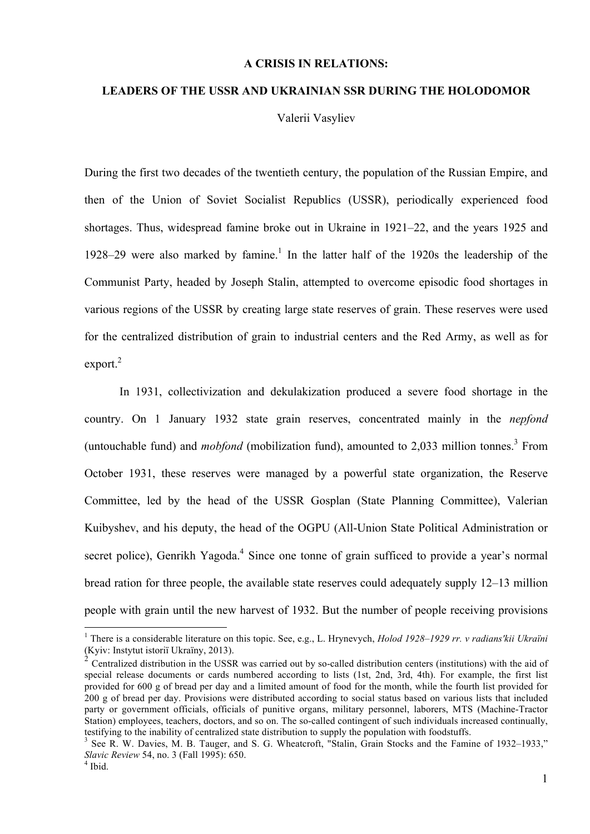## **A CRISIS IN RELATIONS:**

## **LEADERS OF THE USSR AND UKRAINIAN SSR DURING THE HOLODOMOR**

Valerii Vasyliev

During the first two decades of the twentieth century, the population of the Russian Empire, and then of the Union of Soviet Socialist Republics (USSR), periodically experienced food shortages. Thus, widespread famine broke out in Ukraine in 1921–22, and the years 1925 and 1928–29 were also marked by famine.<sup>1</sup> In the latter half of the 1920s the leadership of the Communist Party, headed by Joseph Stalin, attempted to overcome episodic food shortages in various regions of the USSR by creating large state reserves of grain. These reserves were used for the centralized distribution of grain to industrial centers and the Red Army, as well as for export. 2

In 1931, collectivization and dekulakization produced a severe food shortage in the country. On 1 January 1932 state grain reserves, concentrated mainly in the *nepfond* (untouchable fund) and *mobfond* (mobilization fund), amounted to 2,033 million tonnes. <sup>3</sup> From October 1931, these reserves were managed by a powerful state organization, the Reserve Committee, led by the head of the USSR Gosplan (State Planning Committee), Valerian Kuibyshev, and his deputy, the head of the OGPU (All-Union State Political Administration or secret police), Genrikh Yagoda.<sup>4</sup> Since one tonne of grain sufficed to provide a year's normal bread ration for three people, the available state reserves could adequately supply 12–13 million people with grain until the new harvest of 1932. But the number of people receiving provisions

<sup>&</sup>lt;sup>1</sup> There is a considerable literature on this topic. See, e.g., L. Hrynevych, *Holod 1928–1929 rr. v radians'kii Ukraïni* (Kyiv: Instytut istoriï Ukraïny, 2013).

Centralized distribution in the USSR was carried out by so-called distribution centers (institutions) with the aid of special release documents or cards numbered according to lists (1st, 2nd, 3rd, 4th). For example, the first list provided for 600 g of bread per day and a limited amount of food for the month, while the fourth list provided for 200 g of bread per day. Provisions were distributed according to social status based on various lists that included party or government officials, officials of punitive organs, military personnel, laborers, MTS (Machine-Tractor Station) employees, teachers, doctors, and so on. The so-called contingent of such individuals increased continually, testifying to the inability of centralized state distribution to supply the population with foodstuffs.

See R. W. Davies, M. B. Tauger, and S. G. Wheatcroft, "Stalin, Grain Stocks and the Famine of 1932–1933," *Slavic Review* 54, no. 3 (Fall 1995): 650.<br><sup>4</sup> Ibid.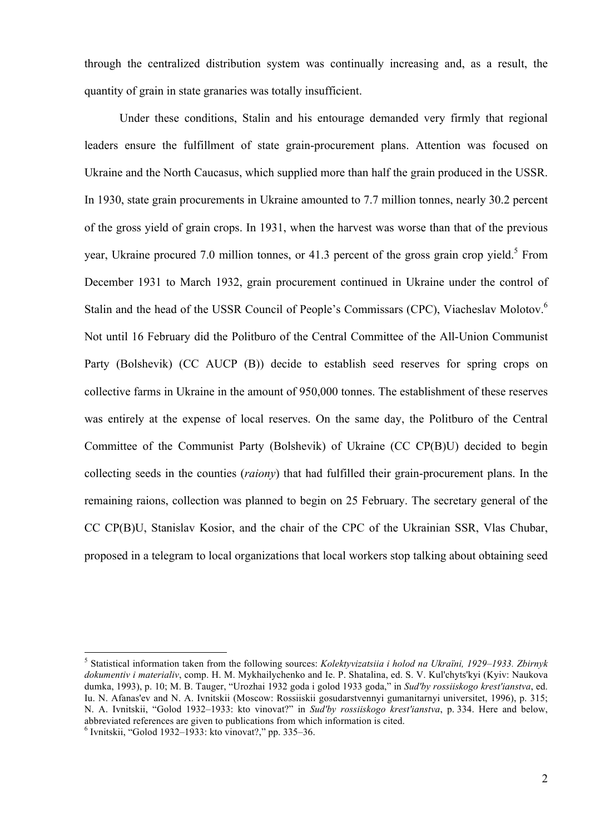through the centralized distribution system was continually increasing and, as a result, the quantity of grain in state granaries was totally insufficient.

Under these conditions, Stalin and his entourage demanded very firmly that regional leaders ensure the fulfillment of state grain-procurement plans. Attention was focused on Ukraine and the North Caucasus, which supplied more than half the grain produced in the USSR. In 1930, state grain procurements in Ukraine amounted to 7.7 million tonnes, nearly 30.2 percent of the gross yield of grain crops. In 1931, when the harvest was worse than that of the previous year, Ukraine procured 7.0 million tonnes, or 41.3 percent of the gross grain crop yield.<sup>5</sup> From December 1931 to March 1932, grain procurement continued in Ukraine under the control of Stalin and the head of the USSR Council of People's Commissars (CPC), Viacheslav Molotov.<sup>6</sup> Not until 16 February did the Politburo of the Central Committee of the All-Union Communist Party (Bolshevik) (CC AUCP (B)) decide to establish seed reserves for spring crops on collective farms in Ukraine in the amount of 950,000 tonnes. The establishment of these reserves was entirely at the expense of local reserves. On the same day, the Politburo of the Central Committee of the Communist Party (Bolshevik) of Ukraine (CC CP(B)U) decided to begin collecting seeds in the counties (*raiony*) that had fulfilled their grain-procurement plans. In the remaining raions, collection was planned to begin on 25 February. The secretary general of the CC CP(B)U, Stanislav Kosior, and the chair of the CPC of the Ukrainian SSR, Vlas Chubar, proposed in a telegram to local organizations that local workers stop talking about obtaining seed

 <sup>5</sup> Statistical information taken from the following sources: *Kolektyvizatsiia i holod na Ukraïni, 1929–1933. Zbirnyk dokumentiv i materialiv*, comp. H. M. Mykhaіlychenko and Іe. P. Shatalina, ed. S. V. Kul'chyts'kyi (Kyiv: Naukova dumka, 1993), p. 10; M. B. Tauger, "Urozhai 1932 goda i golod 1933 goda," in *Sud'by rossiiskogo krest'ianstva*, ed. Iu. N. Afanas'ev and N. A. Ivnitskii (Moscow: Rossiiskii gosudarstvennyi gumanitarnyi universitet, 1996), p. 315; N. A. Ivnitskii, "Golod 1932–1933: kto vinovat?" in *Sud'by rossiiskogo krest'ianstva*, p. 334. Here and below, abbreviated references are given to publications from which information is cited. <sup>6</sup> Ivnitskii, "Golod 1932–1933: kto vinovat?," pp. 335–36.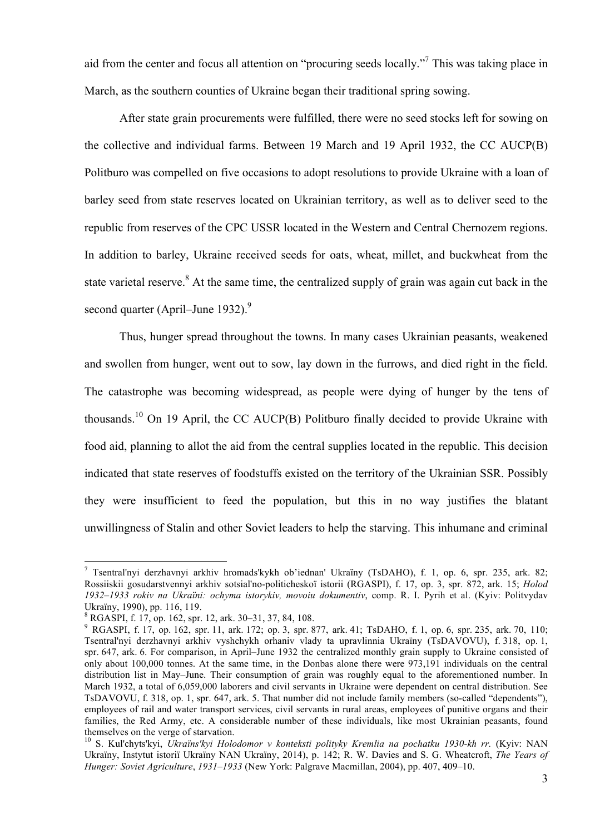aid from the center and focus all attention on "procuring seeds locally."<sup>7</sup> This was taking place in March, as the southern counties of Ukraine began their traditional spring sowing.

After state grain procurements were fulfilled, there were no seed stocks left for sowing on the collective and individual farms. Between 19 March and 19 April 1932, the CC AUCP(B) Politburo was compelled on five occasions to adopt resolutions to provide Ukraine with a loan of barley seed from state reserves located on Ukrainian territory, as well as to deliver seed to the republic from reserves of the CPC USSR located in the Western and Central Chernozem regions. In addition to barley, Ukraine received seeds for oats, wheat, millet, and buckwheat from the state varietal reserve.<sup>8</sup> At the same time, the centralized supply of grain was again cut back in the second quarter (April–June 1932).<sup>9</sup>

Thus, hunger spread throughout the towns. In many cases Ukrainian peasants, weakened and swollen from hunger, went out to sow, lay down in the furrows, and died right in the field. The catastrophe was becoming widespread, as people were dying of hunger by the tens of thousands.<sup>10</sup> On 19 April, the CC AUCP(B) Politburo finally decided to provide Ukraine with food aid, planning to allot the aid from the central supplies located in the republic. This decision indicated that state reserves of foodstuffs existed on the territory of the Ukrainian SSR. Possibly they were insufficient to feed the population, but this in no way justifies the blatant unwillingness of Stalin and other Soviet leaders to help the starving. This inhumane and criminal

 <sup>7</sup> Tsentral'nyi derzhavnyi arkhiv hromads'kykh ob'iednan' Ukraïny (TsDAHO), f. 1, op. 6, spr. 235, ark. 82; Rossiiskii gosudarstvennyi arkhiv sotsial'no-politicheskoï istorii (RGASPI), f. 17, op. 3, spr. 872, ark. 15; *Holod 1932–1933 rokiv na Ukraïni: ochyma istorykiv, movoiu dokumentiv*, comp. R. I. Pyrih et al. (Kyiv: Politvydav Ukraïny, 1990), pp. 116, 119.<br><sup>8</sup> RGASPI, f. 17, op. 162, spr. 12, ark. 30–31, 37, 84, 108.<br><sup>9</sup> RGASPI, f. 17, op. 162, spr. 11, ark. 172; op. 3, spr. 877, ark. 41; TsDAHO, f. 1, op. 6, spr. 235, ark. 70, 110;

Tsentral'nyi derzhavnyi arkhiv vyshchykh orhaniv vlady ta upravlinnia Ukraïny (TsDAVOVU), f. 318, op. 1, spr. 647, ark. 6. For comparison, in April–June 1932 the centralized monthly grain supply to Ukraine consisted of only about 100,000 tonnes. At the same time, in the Donbas alone there were 973,191 individuals on the central distribution list in May–June. Their consumption of grain was roughly equal to the aforementioned number. In March 1932, a total of 6,059,000 laborers and civil servants in Ukraine were dependent on central distribution. See TsDAVOVU, f. 318, op. 1, spr. 647, ark. 5. That number did not include family members (so-called "dependents"), employees of rail and water transport services, civil servants in rural areas, employees of punitive organs and their families, the Red Army, etc. A considerable number of these individuals, like most Ukrainian peasants, found themselves on the verge of starvation.<br><sup>10</sup> S. Kul'chyts'kyi, *Ukraïns'kyi Holodomor v konteksti polityky Kremlia na pochatku 1930-kh rr.* (Kyiv: NAN

Ukraïny, Instytut istoriï Ukraïny NAN Ukraïny, 2014), p. 142; R. W. Davies and S. G. Wheatcroft, *The Years of Hunger: Soviet Agriculture*, *1931–1933* (New York: Palgrave Macmillan, 2004), pp. 407, 409–10.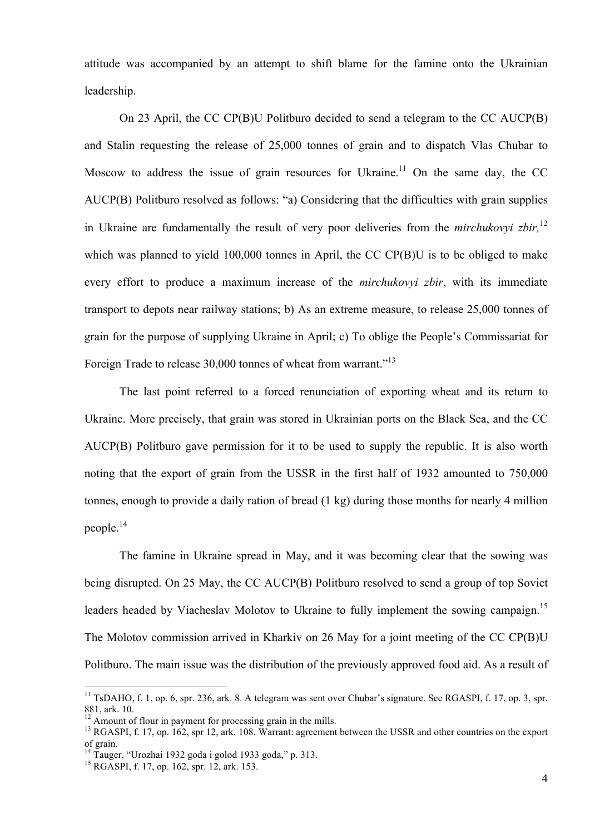attitude was accompanied by an attempt to shift blame for the famine onto the Ukrainian leadership.

On 23 April, the CC CP(B)U Politburo decided to send a telegram to the CC AUCP(B) and Stalin requesting the release of 25,000 tonnes of grain and to dispatch Vlas Chubar to Moscow to address the issue of grain resources for Ukraine.<sup>11</sup> On the same day, the CC AUCP(B) Politburo resolved as follows: "a) Considering that the difficulties with grain supplies in Ukraine are fundamentally the result of very poor deliveries from the *mirchukovyi zbir,* 12 which was planned to yield 100,000 tonnes in April, the CC CP(B)U is to be obliged to make every effort to produce a maximum increase of the *mirchukovyi zbir*, with its immediate transport to depots near railway stations; b) As an extreme measure, to release 25,000 tonnes of grain for the purpose of supplying Ukraine in April; c) To oblige the People's Commissariat for Foreign Trade to release 30,000 tonnes of wheat from warrant."<sup>13</sup>

The last point referred to a forced renunciation of exporting wheat and its return to Ukraine. More precisely, that grain was stored in Ukrainian ports on the Black Sea, and the CC AUCP(B) Politburo gave permission for it to be used to supply the republic. It is also worth noting that the export of grain from the USSR in the first half of 1932 amounted to 750,000 tonnes, enough to provide a daily ration of bread (1 kg) during those months for nearly 4 million people. 14

The famine in Ukraine spread in May, and it was becoming clear that the sowing was being disrupted. On 25 May, the CC AUCP(B) Politburo resolved to send a group of top Soviet leaders headed by Viacheslav Molotov to Ukraine to fully implement the sowing campaign.<sup>15</sup> The Molotov commission arrived in Kharkiv on 26 May for a joint meeting of the CC CP(B)U Politburo. The main issue was the distribution of the previously approved food aid. As a result of

 $11$  TsDAHO, f. 1, op. 6, spr. 236, ark. 8. A telegram was sent over Chubar's signature. See RGASPI, f. 17, op. 3, spr. 881, ark. 10.<br><sup>12</sup> Amount of flour in payment for processing grain in the mills.

<sup>&</sup>lt;sup>13</sup> RGASPI, f. 17, op. 162, spr 12, ark. 108. Warrant: agreement between the USSR and other countries on the export of grain.

<sup>&</sup>lt;sup>14</sup> Tauger, "Urozhai 1932 goda i golod 1933 goda," p. 313.<br><sup>15</sup> RGASPI, f. 17, op. 162, spr. 12, ark. 153.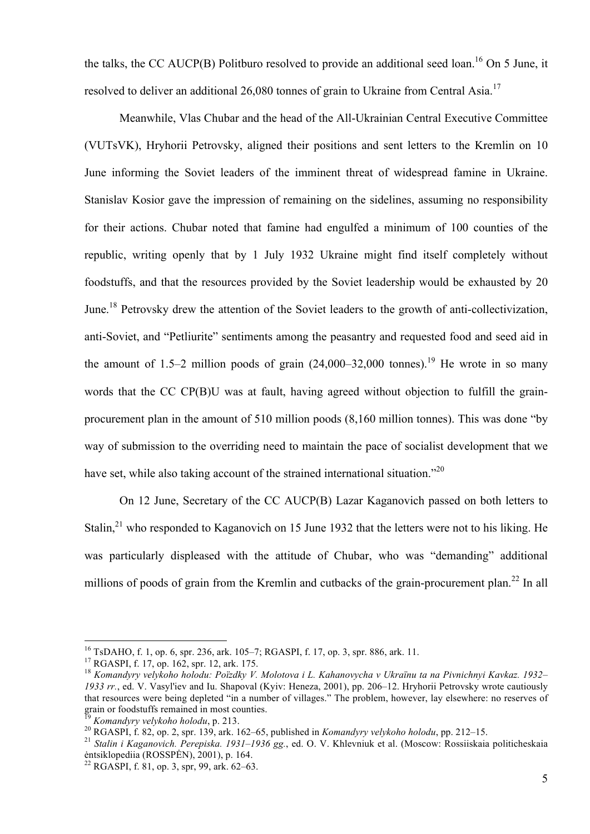the talks, the CC AUCP(B) Politburo resolved to provide an additional seed loan.<sup>16</sup> On 5 June, it resolved to deliver an additional 26,080 tonnes of grain to Ukraine from Central Asia.<sup>17</sup>

Meanwhile, Vlas Chubar and the head of the All-Ukrainian Central Executive Committee (VUTsVK), Hryhorii Petrovsky, aligned their positions and sent letters to the Kremlin on 10 June informing the Soviet leaders of the imminent threat of widespread famine in Ukraine. Stanislav Kosior gave the impression of remaining on the sidelines, assuming no responsibility for their actions. Chubar noted that famine had engulfed a minimum of 100 counties of the republic, writing openly that by 1 July 1932 Ukraine might find itself completely without foodstuffs, and that the resources provided by the Soviet leadership would be exhausted by 20 June.<sup>18</sup> Petrovsky drew the attention of the Soviet leaders to the growth of anti-collectivization, anti-Soviet, and "Petliurite" sentiments among the peasantry and requested food and seed aid in the amount of 1.5–2 million poods of grain  $(24,000-32,000)$  tonnes).<sup>19</sup> He wrote in so many words that the CC CP(B)U was at fault, having agreed without objection to fulfill the grainprocurement plan in the amount of 510 million poods (8,160 million tonnes). This was done "by way of submission to the overriding need to maintain the pace of socialist development that we have set, while also taking account of the strained international situation."<sup>20</sup>

On 12 June, Secretary of the CC AUCP(B) Lazar Kaganovich passed on both letters to Stalin,<sup>21</sup> who responded to Kaganovich on 15 June 1932 that the letters were not to his liking. He was particularly displeased with the attitude of Chubar, who was "demanding" additional millions of poods of grain from the Kremlin and cutbacks of the grain-procurement plan.<sup>22</sup> In all

<sup>&</sup>lt;sup>16</sup> TsDAHO, f. 1, op. 6, spr. 236, ark. 105–7; RGASPI, f. 17, op. 3, spr. 886, ark. 11.<br><sup>17</sup> RGASPI, f. 17, op. 162, spr. 12, ark. 175.<br><sup>18</sup> Komandyry velykoho holodu: Poïzdky V. Molotova i L. Kahanovycha v Ukraïnu ta na *1933 rr.*, ed. V. Vasyl'iev and Iu. Shapoval (Kyiv: Heneza, 2001), pp. 206–12. Hryhorii Petrovsky wrote cautiously that resources were being depleted "in a number of villages." The problem, however, lay elsewhere: no reserves of grain or foodstuffs remained in most counties.

<sup>&</sup>lt;sup>19</sup> Komandyry velykoho holodu, p. 213.<br><sup>20</sup> RGASPI, f. 82, op. 2, spr. 139, ark. 162–65, published in *Komandyry velykoho holodu*, pp. 212–15.<br><sup>21</sup> Stalin i Kaganovich. Perepiska. 1931–1936 gg., ed. O. V. Khlevniuk et al.

<sup>&</sup>lt;sup>22</sup> RGASPI, f. 81, op. 3, spr, 99, ark. 62–63.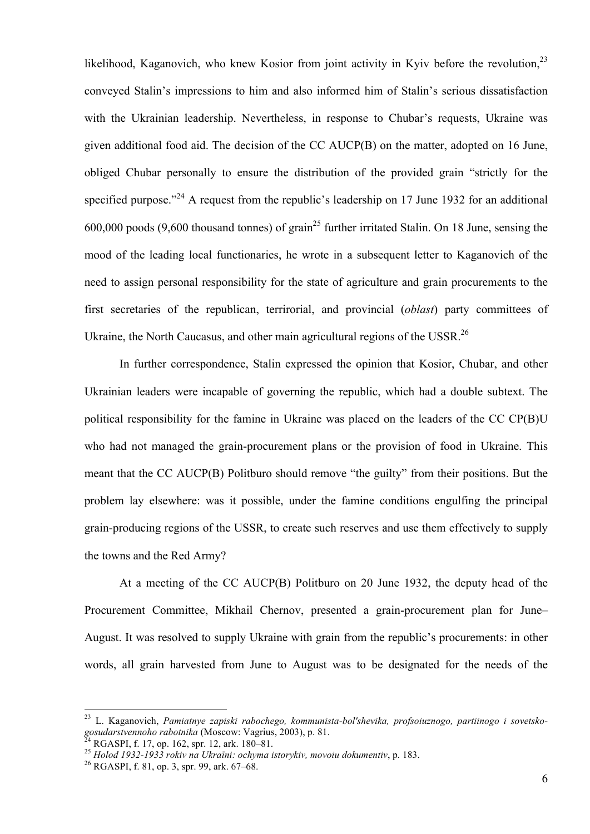likelihood, Kaganovich, who knew Kosior from joint activity in Kyiv before the revolution.<sup>23</sup> conveyed Stalin's impressions to him and also informed him of Stalin's serious dissatisfaction with the Ukrainian leadership. Nevertheless, in response to Chubar's requests, Ukraine was given additional food aid. The decision of the CC AUCP(B) on the matter, adopted on 16 June, obliged Chubar personally to ensure the distribution of the provided grain "strictly for the specified purpose."<sup>24</sup> A request from the republic's leadership on 17 June 1932 for an additional 600,000 poods (9,600 thousand tonnes) of grain<sup>25</sup> further irritated Stalin. On 18 June, sensing the mood of the leading local functionaries, he wrote in a subsequent letter to Kaganovich of the need to assign personal responsibility for the state of agriculture and grain procurements to the first secretaries of the republican, terrirorial, and provincial (*oblast*) party committees of Ukraine, the North Caucasus, and other main agricultural regions of the USSR.<sup>26</sup>

In further correspondence, Stalin expressed the opinion that Kosior, Chubar, and other Ukrainian leaders were incapable of governing the republic, which had a double subtext. The political responsibility for the famine in Ukraine was placed on the leaders of the CC CP(B)U who had not managed the grain-procurement plans or the provision of food in Ukraine. This meant that the CC AUCP(B) Politburo should remove "the guilty" from their positions. But the problem lay elsewhere: was it possible, under the famine conditions engulfing the principal grain-producing regions of the USSR, to create such reserves and use them effectively to supply the towns and the Red Army?

At a meeting of the CC AUCP(B) Politburo on 20 June 1932, the deputy head of the Procurement Committee, Mikhail Chernov, presented a grain-procurement plan for June– August. It was resolved to supply Ukraine with grain from the republic's procurements: in other words, all grain harvested from June to August was to be designated for the needs of the

<sup>&</sup>lt;sup>23</sup> L. Kaganovich, *Pamiatnye zapiski rabochego, kommunista-bol'shevika, profsoiuznogo, partiinogo i sovetsko-<br>gosudarstvennoho rabotnika (Moscow: Vagrius, 2003), p. 81.* 

<sup>&</sup>lt;sup>24</sup> RGASPI, f. 17, op. 162, spr. 12, ark. 180–81.<br><sup>25</sup> Holod 1932-1933 rokiv na Ukraïni: ochyma istorykiv, movoiu dokumentiv, p. 183.<br><sup>26</sup> RGASPI, f. 81, op. 3, spr. 99, ark. 67–68.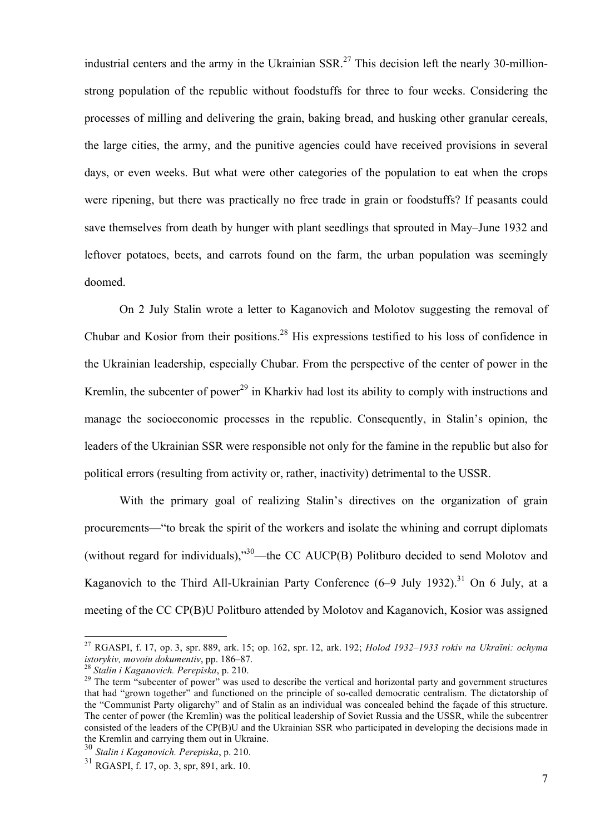industrial centers and the army in the Ukrainian  $SSR$ <sup>27</sup> This decision left the nearly 30-millionstrong population of the republic without foodstuffs for three to four weeks. Considering the processes of milling and delivering the grain, baking bread, and husking other granular cereals, the large cities, the army, and the punitive agencies could have received provisions in several days, or even weeks. But what were other categories of the population to eat when the crops were ripening, but there was practically no free trade in grain or foodstuffs? If peasants could save themselves from death by hunger with plant seedlings that sprouted in May–June 1932 and leftover potatoes, beets, and carrots found on the farm, the urban population was seemingly doomed.

On 2 July Stalin wrote a letter to Kaganovich and Molotov suggesting the removal of Chubar and Kosior from their positions.<sup>28</sup> His expressions testified to his loss of confidence in the Ukrainian leadership, especially Chubar. From the perspective of the center of power in the Kremlin, the subcenter of power<sup>29</sup> in Kharkiv had lost its ability to comply with instructions and manage the socioeconomic processes in the republic. Consequently, in Stalin's opinion, the leaders of the Ukrainian SSR were responsible not only for the famine in the republic but also for political errors (resulting from activity or, rather, inactivity) detrimental to the USSR.

With the primary goal of realizing Stalin's directives on the organization of grain procurements—"to break the spirit of the workers and isolate the whining and corrupt diplomats (without regard for individuals),"  $30$ —the CC AUCP(B) Politburo decided to send Molotov and Kaganovich to the Third All-Ukrainian Party Conference  $(6-9 \text{ July } 1932)$ .<sup>31</sup> On 6 July, at a meeting of the CC CP(B)U Politburo attended by Molotov and Kaganovich, Kosior was assigned

 <sup>27</sup> RGASPI, f. 17, op. 3, spr. 889, ark. 15; op. 162, spr. 12, ark. 192; *Holod 1932–1933 rokiv na Ukraïni: ochyma istorykiv, movoiu dokumentiv*, pp. 186–87. <sup>28</sup> *Stalin i Kaganovich. Perepiska*, p. 210. 29 The term "subcenter of power" was used to describe the vertical and horizontal party and government structures

that had "grown together" and functioned on the principle of so-called democratic centralism. The dictatorship of the "Communist Party oligarchy" and of Stalin as an individual was concealed behind the façade of this structure. The center of power (the Kremlin) was the political leadership of Soviet Russia and the USSR, while the subcentrer consisted of the leaders of the CP(B)U and the Ukrainian SSR who participated in developing the decisions made in the Kremlin and carrying them out in Ukraine.

<sup>30</sup> *Stalin i Kaganovich. Perepiska*, p. 210.

<sup>31</sup> RGASPI, f. 17, op. 3, spr, 891, ark. 10.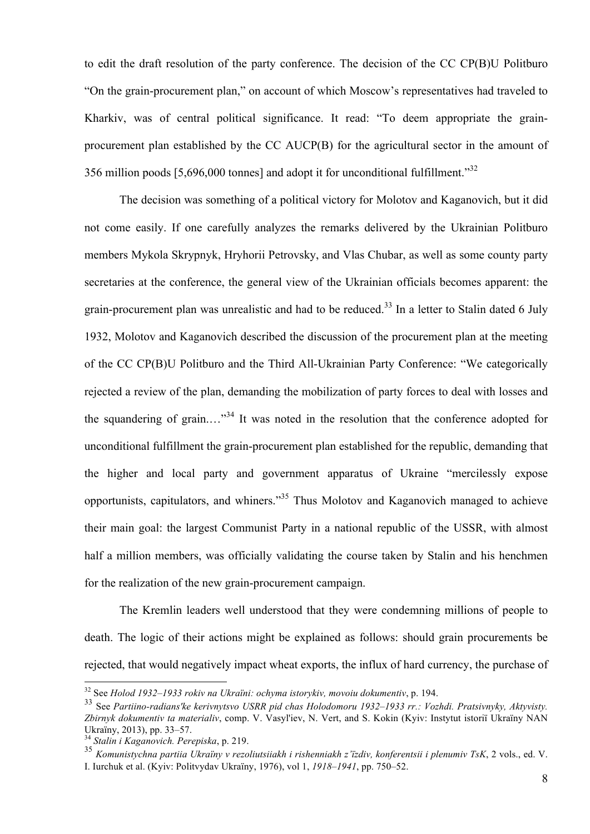to edit the draft resolution of the party conference. The decision of the CC CP(B)U Politburo "On the grain-procurement plan," on account of which Moscow's representatives had traveled to Kharkiv, was of central political significance. It read: "To deem appropriate the grainprocurement plan established by the CC AUCP(B) for the agricultural sector in the amount of 356 million poods [5,696,000 tonnes] and adopt it for unconditional fulfillment."<sup>32</sup>

The decision was something of a political victory for Molotov and Kaganovich, but it did not come easily. If one carefully analyzes the remarks delivered by the Ukrainian Politburo members Mykola Skrypnyk, Hryhorii Petrovsky, and Vlas Chubar, as well as some county party secretaries at the conference, the general view of the Ukrainian officials becomes apparent: the grain-procurement plan was unrealistic and had to be reduced.<sup>33</sup> In a letter to Stalin dated 6 July 1932, Molotov and Kaganovich described the discussion of the procurement plan at the meeting of the CC CP(B)U Politburo and the Third All-Ukrainian Party Conference: "We categorically rejected a review of the plan, demanding the mobilization of party forces to deal with losses and the squandering of grain...."<sup>34</sup> It was noted in the resolution that the conference adopted for unconditional fulfillment the grain-procurement plan established for the republic, demanding that the higher and local party and government apparatus of Ukraine "mercilessly expose opportunists, capitulators, and whiners."<sup>35</sup> Thus Molotov and Kaganovich managed to achieve their main goal: the largest Communist Party in a national republic of the USSR, with almost half a million members, was officially validating the course taken by Stalin and his henchmen for the realization of the new grain-procurement campaign.

The Kremlin leaders well understood that they were condemning millions of people to death. The logic of their actions might be explained as follows: should grain procurements be rejected, that would negatively impact wheat exports, the influx of hard currency, the purchase of

 <sup>32</sup> See *Holod 1932–1933 rokiv na Ukraïni: ochyma istorykiv, movoiu dokumentiv*, p. 194.

<sup>33</sup> See *Partiino-radians'ke kerivnytsvo USRR pid chas Holodomoru 1932–1933 rr.: Vozhdi. Pratsivnyky, Aktyvisty. Zbirnyk dokumentiv ta materialiv*, comp. V. Vasyl'iev, N. Vert, and S. Kokin (Kyiv: Instytut istoriï Ukraïny NAN Ukraïny, 2013), pp. 33–57. <sup>34</sup> *Stalin i Kaganovich. Perepiska*, p. 219. <sup>35</sup> *Komunistychna partiia Ukraïny v rezoliutsiiakh i rishenniakh z'їzdiv, konferentsii i plenumiv TsK*, 2 vols., ed. V.

I. Iurchuk et al. (Kyiv: Politvydav Ukraïny, 1976), vol 1, *1918–1941*, pp. 750*–*52.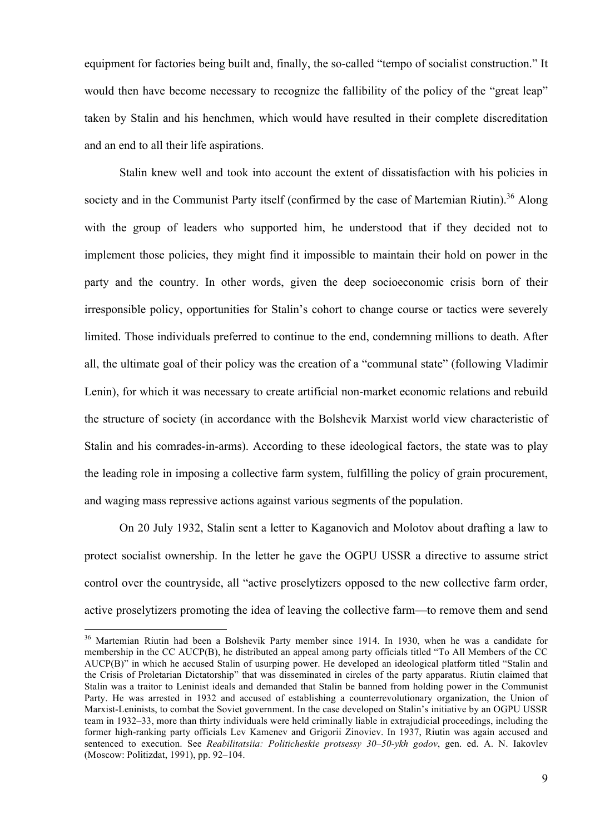equipment for factories being built and, finally, the so-called "tempo of socialist construction." It would then have become necessary to recognize the fallibility of the policy of the "great leap" taken by Stalin and his henchmen, which would have resulted in their complete discreditation and an end to all their life aspirations.

Stalin knew well and took into account the extent of dissatisfaction with his policies in society and in the Communist Party itself (confirmed by the case of Martemian Riutin).<sup>36</sup> Along with the group of leaders who supported him, he understood that if they decided not to implement those policies, they might find it impossible to maintain their hold on power in the party and the country. In other words, given the deep socioeconomic crisis born of their irresponsible policy, opportunities for Stalin's cohort to change course or tactics were severely limited. Those individuals preferred to continue to the end, condemning millions to death. After all, the ultimate goal of their policy was the creation of a "communal state" (following Vladimir Lenin), for which it was necessary to create artificial non-market economic relations and rebuild the structure of society (in accordance with the Bolshevik Marxist world view characteristic of Stalin and his comrades-in-arms). According to these ideological factors, the state was to play the leading role in imposing a collective farm system, fulfilling the policy of grain procurement, and waging mass repressive actions against various segments of the population.

On 20 July 1932, Stalin sent a letter to Kaganovich and Molotov about drafting a law to protect socialist ownership. In the letter he gave the OGPU USSR a directive to assume strict control over the countryside, all "active proselytizers opposed to the new collective farm order, active proselytizers promoting the idea of leaving the collective farm—to remove them and send

<sup>&</sup>lt;sup>36</sup> Martemian Riutin had been a Bolshevik Party member since 1914. In 1930, when he was a candidate for membership in the CC AUCP(B), he distributed an appeal among party officials titled "To All Members of the CC AUCP(B)" in which he accused Stalin of usurping power. He developed an ideological platform titled "Stalin and the Crisis of Proletarian Dictatorship" that was disseminated in circles of the party apparatus. Riutin claimed that Stalin was a traitor to Leninist ideals and demanded that Stalin be banned from holding power in the Communist Party. He was arrested in 1932 and accused of establishing a counterrevolutionary organization, the Union of Marxist-Leninists, to combat the Soviet government. In the case developed on Stalin's initiative by an OGPU USSR team in 1932–33, more than thirty individuals were held criminally liable in extrajudicial proceedings, including the former high-ranking party officials Lev Kamenev and Grigorii Zinoviev. In 1937, Riutin was again accused and sentenced to execution. See *Reabilitatsiia: Politicheskie protsessy 30–50-ykh godov*, gen. ed. A. N. Iakovlev (Moscow: Politizdat, 1991), pp. 92–104.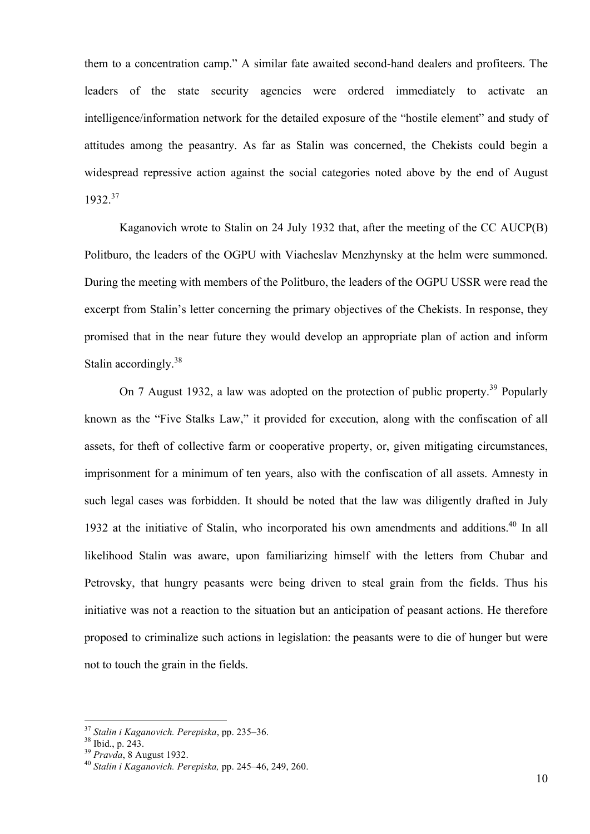them to a concentration camp." A similar fate awaited second-hand dealers and profiteers. The leaders of the state security agencies were ordered immediately to activate an intelligence/information network for the detailed exposure of the "hostile element" and study of attitudes among the peasantry. As far as Stalin was concerned, the Chekists could begin a widespread repressive action against the social categories noted above by the end of August 1932.<sup>37</sup>

Kaganovich wrote to Stalin on 24 July 1932 that, after the meeting of the CC AUCP(B) Politburo, the leaders of the OGPU with Viacheslav Menzhynsky at the helm were summoned. During the meeting with members of the Politburo, the leaders of the OGPU USSR were read the excerpt from Stalin's letter concerning the primary objectives of the Chekists. In response, they promised that in the near future they would develop an appropriate plan of action and inform Stalin accordingly.<sup>38</sup>

On 7 August 1932, a law was adopted on the protection of public property.<sup>39</sup> Popularly known as the "Five Stalks Law," it provided for execution, along with the confiscation of all assets, for theft of collective farm or cooperative property, or, given mitigating circumstances, imprisonment for a minimum of ten years, also with the confiscation of all assets. Amnesty in such legal cases was forbidden. It should be noted that the law was diligently drafted in July 1932 at the initiative of Stalin, who incorporated his own amendments and additions.<sup>40</sup> In all likelihood Stalin was aware, upon familiarizing himself with the letters from Chubar and Petrovsky, that hungry peasants were being driven to steal grain from the fields. Thus his initiative was not a reaction to the situation but an anticipation of peasant actions. He therefore proposed to criminalize such actions in legislation: the peasants were to die of hunger but were not to touch the grain in the fields.

<sup>37</sup> *Stalin i Kaganovich. Perepiska*, pp. 235–36. <sup>38</sup> Ibid., p. 243. <sup>39</sup> *Pravda*, 8 August 1932. 40 *Stalin i Kaganovich. Perepiska,* pp. 245–46, 249, 260.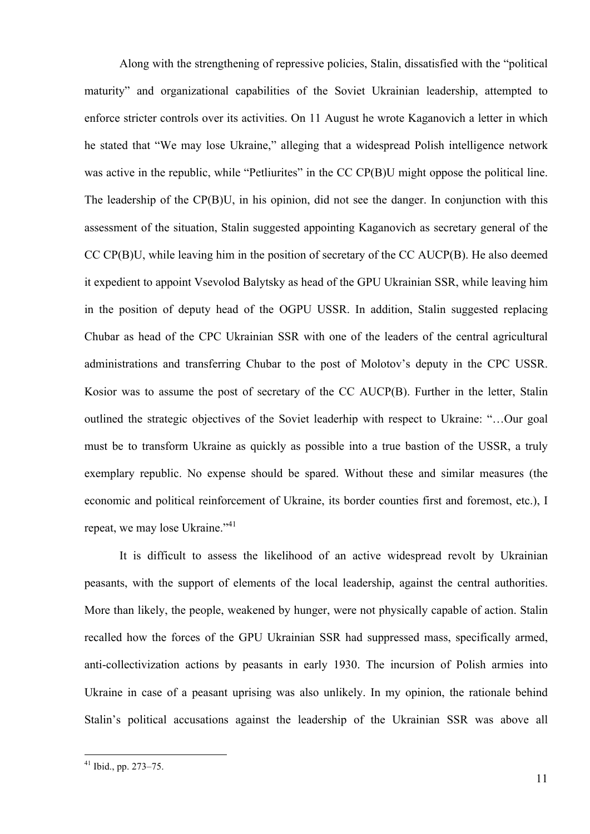Along with the strengthening of repressive policies, Stalin, dissatisfied with the "political maturity" and organizational capabilities of the Soviet Ukrainian leadership, attempted to enforce stricter controls over its activities. On 11 August he wrote Kaganovich a letter in which he stated that "We may lose Ukraine," alleging that a widespread Polish intelligence network was active in the republic, while "Petliurites" in the CC CP(B)U might oppose the political line. The leadership of the CP(B)U, in his opinion, did not see the danger. In conjunction with this assessment of the situation, Stalin suggested appointing Kaganovich as secretary general of the CC CP(B)U, while leaving him in the position of secretary of the CC AUCP(B). He also deemed it expedient to appoint Vsevolod Balytsky as head of the GPU Ukrainian SSR, while leaving him in the position of deputy head of the OGPU USSR. In addition, Stalin suggested replacing Chubar as head of the CPC Ukrainian SSR with one of the leaders of the central agricultural administrations and transferring Chubar to the post of Molotov's deputy in the CPC USSR. Kosior was to assume the post of secretary of the CC AUCP(B). Further in the letter, Stalin outlined the strategic objectives of the Soviet leaderhip with respect to Ukraine: "…Our goal must be to transform Ukraine as quickly as possible into a true bastion of the USSR, a truly exemplary republic. No expense should be spared. Without these and similar measures (the economic and political reinforcement of Ukraine, its border counties first and foremost, etc.), I repeat, we may lose Ukraine."<sup>41</sup>

It is difficult to assess the likelihood of an active widespread revolt by Ukrainian peasants, with the support of elements of the local leadership, against the central authorities. More than likely, the people, weakened by hunger, were not physically capable of action. Stalin recalled how the forces of the GPU Ukrainian SSR had suppressed mass, specifically armed, anti-collectivization actions by peasants in early 1930. The incursion of Polish armies into Ukraine in case of a peasant uprising was also unlikely. In my opinion, the rationale behind Stalin's political accusations against the leadership of the Ukrainian SSR was above all

 <sup>41</sup> Ibid., pp. 273–75.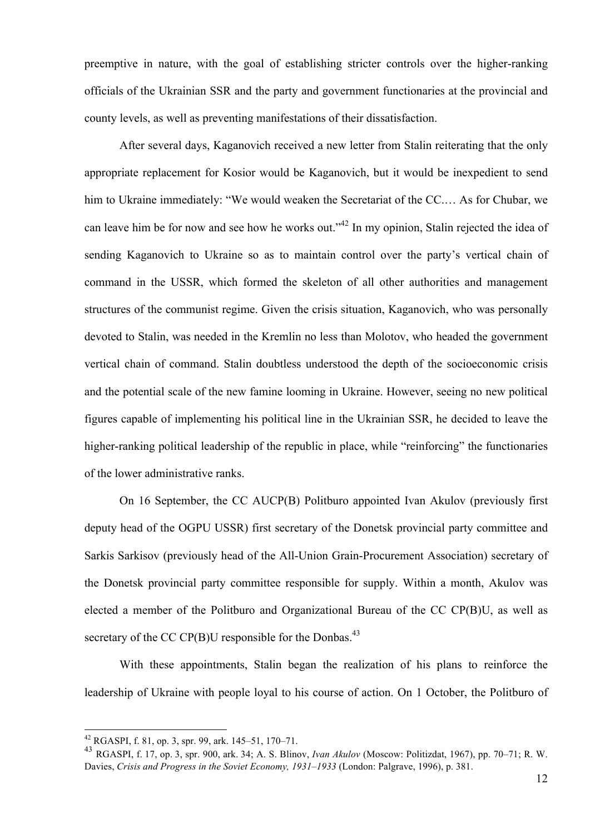preemptive in nature, with the goal of establishing stricter controls over the higher-ranking officials of the Ukrainian SSR and the party and government functionaries at the provincial and county levels, as well as preventing manifestations of their dissatisfaction.

After several days, Kaganovich received a new letter from Stalin reiterating that the only appropriate replacement for Kosior would be Kaganovich, but it would be inexpedient to send him to Ukraine immediately: "We would weaken the Secretariat of the CC.… As for Chubar, we can leave him be for now and see how he works out."<sup>42</sup> In my opinion, Stalin rejected the idea of sending Kaganovich to Ukraine so as to maintain control over the party's vertical chain of command in the USSR, which formed the skeleton of all other authorities and management structures of the communist regime. Given the crisis situation, Kaganovich, who was personally devoted to Stalin, was needed in the Kremlin no less than Molotov, who headed the government vertical chain of command. Stalin doubtless understood the depth of the socioeconomic crisis and the potential scale of the new famine looming in Ukraine. However, seeing no new political figures capable of implementing his political line in the Ukrainian SSR, he decided to leave the higher-ranking political leadership of the republic in place, while "reinforcing" the functionaries of the lower administrative ranks.

On 16 September, the CC AUCP(B) Politburo appointed Ivan Akulov (previously first deputy head of the OGPU USSR) first secretary of the Donetsk provincial party committee and Sarkis Sarkisov (previously head of the All-Union Grain-Procurement Association) secretary of the Donetsk provincial party committee responsible for supply. Within a month, Akulov was elected a member of the Politburo and Organizational Bureau of the CC CP(B)U, as well as secretary of the CC CP(B)U responsible for the Donbas.<sup>43</sup>

With these appointments, Stalin began the realization of his plans to reinforce the leadership of Ukraine with people loyal to his course of action. On 1 October, the Politburo of

 $42$  RGASPI, f. 81, op. 3, spr. 99, ark. 145–51, 170–71.

<sup>43</sup> RGASPI, f. 17, op. 3, spr. 900, ark. 34; A. S. Blinov, *Ivan Akulov* (Moscow: Politizdat, 1967), pp. 70–71; R. W. Davies, *Crisis and Progress in the Soviet Economy, 1931–1933* (London: Palgrave, 1996), p. 381.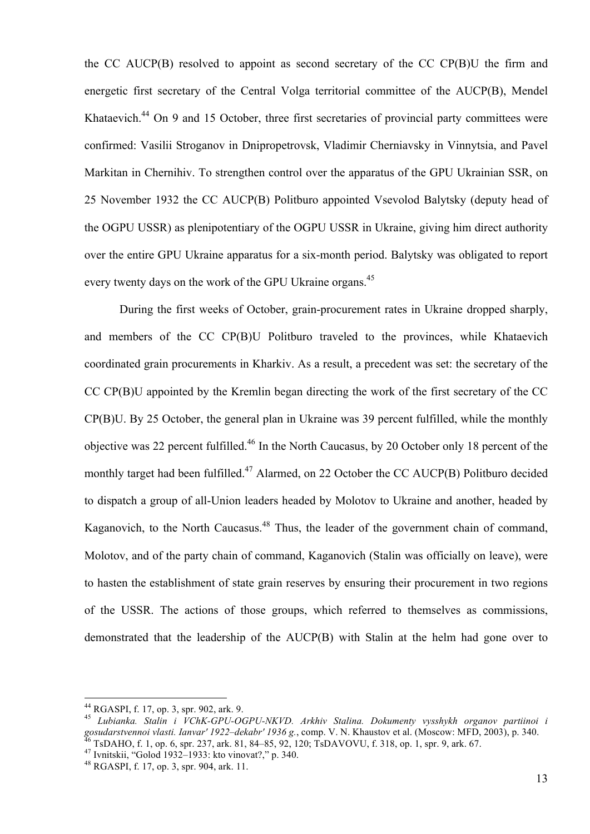the CC AUCP(B) resolved to appoint as second secretary of the CC CP(B)U the firm and energetic first secretary of the Central Volga territorial committee of the AUCP(B), Mendel Khataevich.<sup>44</sup> On 9 and 15 October, three first secretaries of provincial party committees were confirmed: Vasilii Stroganov in Dnipropetrovsk, Vladimir Cherniavsky in Vinnytsia, and Pavel Markitan in Chernihiv. To strengthen control over the apparatus of the GPU Ukrainian SSR, on 25 November 1932 the CC AUCP(B) Politburo appointed Vsevolod Balytsky (deputy head of the OGPU USSR) as plenipotentiary of the OGPU USSR in Ukraine, giving him direct authority over the entire GPU Ukraine apparatus for a six-month period. Balytsky was obligated to report every twenty days on the work of the GPU Ukraine organs.<sup>45</sup>

During the first weeks of October, grain-procurement rates in Ukraine dropped sharply, and members of the CC CP(B)U Politburo traveled to the provinces, while Khataevich coordinated grain procurements in Kharkiv. As a result, a precedent was set: the secretary of the CC CP(B)U appointed by the Kremlin began directing the work of the first secretary of the CC CP(B)U. By 25 October, the general plan in Ukraine was 39 percent fulfilled, while the monthly objective was 22 percent fulfilled.<sup>46</sup> In the North Caucasus, by 20 October only 18 percent of the monthly target had been fulfilled.<sup>47</sup> Alarmed, on 22 October the CC AUCP(B) Politburo decided to dispatch a group of all-Union leaders headed by Molotov to Ukraine and another, headed by Kaganovich, to the North Caucasus.<sup>48</sup> Thus, the leader of the government chain of command, Molotov, and of the party chain of command, Kaganovich (Stalin was officially on leave), were to hasten the establishment of state grain reserves by ensuring their procurement in two regions of the USSR. The actions of those groups, which referred to themselves as commissions, demonstrated that the leadership of the AUCP(B) with Stalin at the helm had gone over to

<sup>44</sup> RGASPI, f. 17, op. 3, spr. 902, ark. 9. <sup>45</sup> *Lubianka. Stalin i VChK-GPU-OGPU-NKVD. Arkhiv Stalina. Dokumenty vysshykh organov partiinoi i* gosudarstvennoi vlasti. Ianvar' 1922–dekabr' 1936 g., comp. V. N. Khaustov et al. (Moscow: MFD, 2003), p. 340.<br><sup>46</sup> TsDAHO, f. 1, op. 6, spr. 237, ark. 81, 84–85, 92, 120; TsDAVOVU, f. 318, op. 1, spr. 9, ark. 67.<br><sup>47</sup> Iv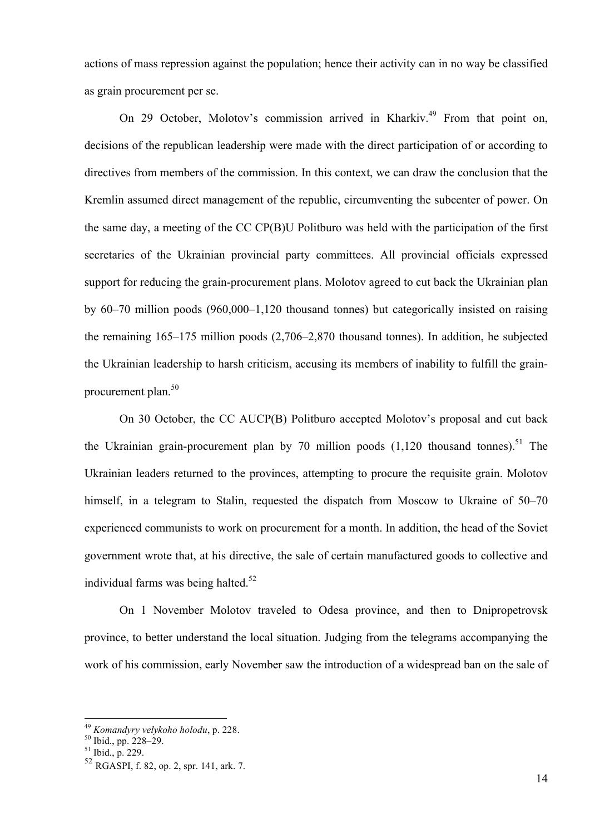actions of mass repression against the population; hence their activity can in no way be classified as grain procurement per se.

On 29 October, Molotov's commission arrived in Kharkiv.<sup>49</sup> From that point on, decisions of the republican leadership were made with the direct participation of or according to directives from members of the commission. In this context, we can draw the conclusion that the Kremlin assumed direct management of the republic, circumventing the subcenter of power. On the same day, a meeting of the CC CP(B)U Politburo was held with the participation of the first secretaries of the Ukrainian provincial party committees. All provincial officials expressed support for reducing the grain-procurement plans. Molotov agreed to cut back the Ukrainian plan by 60–70 million poods (960,000–1,120 thousand tonnes) but categorically insisted on raising the remaining 165–175 million poods (2,706–2,870 thousand tonnes). In addition, he subjected the Ukrainian leadership to harsh criticism, accusing its members of inability to fulfill the grainprocurement plan. 50

On 30 October, the CC AUCP(B) Politburo accepted Molotov's proposal and cut back the Ukrainian grain-procurement plan by 70 million poods  $(1,120)$  thousand tonnes).<sup>51</sup> The Ukrainian leaders returned to the provinces, attempting to procure the requisite grain. Molotov himself, in a telegram to Stalin, requested the dispatch from Moscow to Ukraine of 50–70 experienced communists to work on procurement for a month. In addition, the head of the Soviet government wrote that, at his directive, the sale of certain manufactured goods to collective and individual farms was being halted. 52

On 1 November Molotov traveled to Odesa province, and then to Dnipropetrovsk province, to better understand the local situation. Judging from the telegrams accompanying the work of his commission, early November saw the introduction of a widespread ban on the sale of

<sup>&</sup>lt;sup>49</sup> *Komandyry velykoho holodu*, p. 228.<br><sup>50</sup> Ibid., pp. 228–29.<br><sup>51</sup> Ibid., p. 229.

<sup>52</sup> RGASPI, f. 82, op. 2, spr. 141, ark. 7.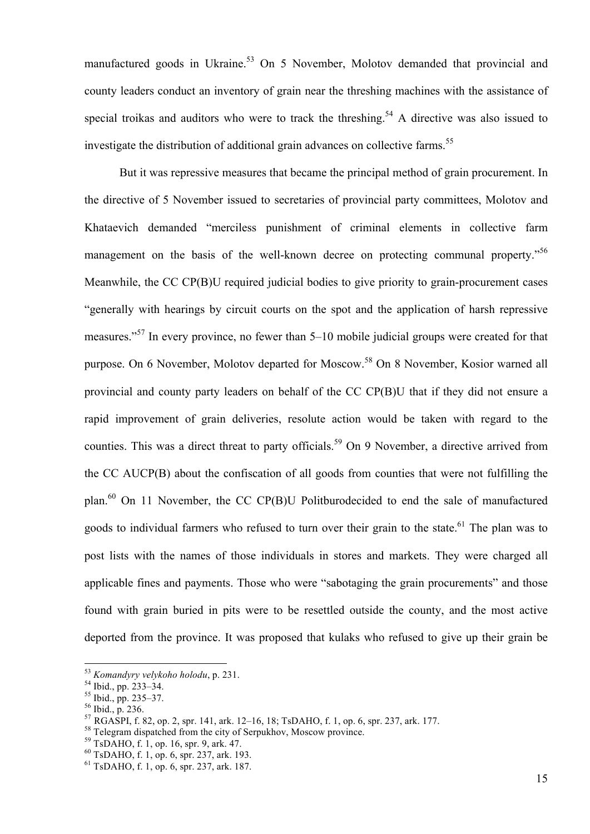manufactured goods in Ukraine.<sup>53</sup> On 5 November, Molotov demanded that provincial and county leaders conduct an inventory of grain near the threshing machines with the assistance of special troikas and auditors who were to track the threshing.<sup>54</sup> A directive was also issued to investigate the distribution of additional grain advances on collective farms.<sup>55</sup>

But it was repressive measures that became the principal method of grain procurement. In the directive of 5 November issued to secretaries of provincial party committees, Molotov and Khataevich demanded "merciless punishment of criminal elements in collective farm management on the basis of the well-known decree on protecting communal property."<sup>56</sup> Meanwhile, the CC CP(B)U required judicial bodies to give priority to grain-procurement cases "generally with hearings by circuit courts on the spot and the application of harsh repressive measures."<sup>57</sup> In every province, no fewer than 5–10 mobile judicial groups were created for that purpose. On 6 November, Molotov departed for Moscow.<sup>58</sup> On 8 November, Kosior warned all provincial and county party leaders on behalf of the CC CP(B)U that if they did not ensure a rapid improvement of grain deliveries, resolute action would be taken with regard to the counties. This was a direct threat to party officials.<sup>59</sup> On 9 November, a directive arrived from the CC AUCP(B) about the confiscation of all goods from counties that were not fulfilling the plan.<sup>60</sup> On 11 November, the CC CP(B)U Politburodecided to end the sale of manufactured goods to individual farmers who refused to turn over their grain to the state.<sup>61</sup> The plan was to post lists with the names of those individuals in stores and markets. They were charged all applicable fines and payments. Those who were "sabotaging the grain procurements" and those found with grain buried in pits were to be resettled outside the county, and the most active deported from the province. It was proposed that kulaks who refused to give up their grain be

<sup>&</sup>lt;sup>53</sup> Komandyry velykoho holodu, p. 231.<br><sup>54</sup> Ibid., pp. 233–34.<br><sup>55</sup> Ibid., p. 235–37.<br><sup>56</sup> Ibid., p. 236.<br><sup>57</sup> RGASPI, f. 82, op. 2, spr. 141, ark. 12–16, 18; TsDAHO, f. 1, op. 6, spr. 237, ark. 177.<br><sup>58</sup> Telegram dispatc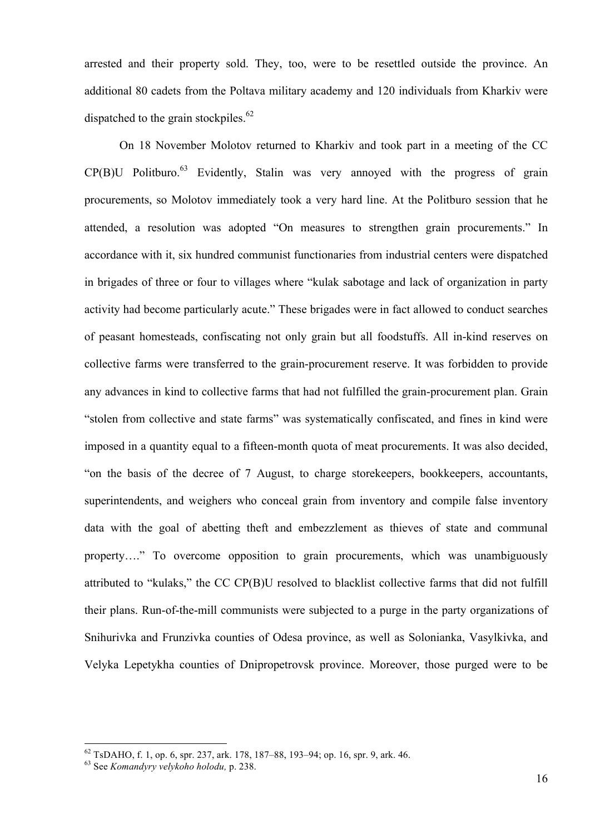arrested and their property sold. They, too, were to be resettled outside the province. An additional 80 cadets from the Poltava military academy and 120 individuals from Kharkiv were dispatched to the grain stockpiles.<sup>62</sup>

On 18 November Molotov returned to Kharkiv and took part in a meeting of the CC  $CP(B)$ U Politburo.<sup>63</sup> Evidently, Stalin was very annoyed with the progress of grain procurements, so Molotov immediately took a very hard line. At the Politburo session that he attended, a resolution was adopted "On measures to strengthen grain procurements." In accordance with it, six hundred communist functionaries from industrial centers were dispatched in brigades of three or four to villages where "kulak sabotage and lack of organization in party activity had become particularly acute." These brigades were in fact allowed to conduct searches of peasant homesteads, confiscating not only grain but all foodstuffs. All in-kind reserves on collective farms were transferred to the grain-procurement reserve. It was forbidden to provide any advances in kind to collective farms that had not fulfilled the grain-procurement plan. Grain "stolen from collective and state farms" was systematically confiscated, and fines in kind were imposed in a quantity equal to a fifteen-month quota of meat procurements. It was also decided, "on the basis of the decree of 7 August, to charge storekeepers, bookkeepers, accountants, superintendents, and weighers who conceal grain from inventory and compile false inventory data with the goal of abetting theft and embezzlement as thieves of state and communal property…." To overcome opposition to grain procurements, which was unambiguously attributed to "kulaks," the CC CP(B)U resolved to blacklist collective farms that did not fulfill their plans. Run-of-the-mill communists were subjected to a purge in the party organizations of Snihurivka and Frunzivka counties of Odesa province, as well as Solonianka, Vasylkivka, and Velyka Lepetykha counties of Dnipropetrovsk province. Moreover, those purged were to be

<sup>62</sup> TsDAHO, f. 1, op. 6, spr. 237, ark. 178, 187–88, 193–94; op. 16, spr. 9, ark. 46. <sup>63</sup> See *Komandyry velykoho holodu,* p. 238.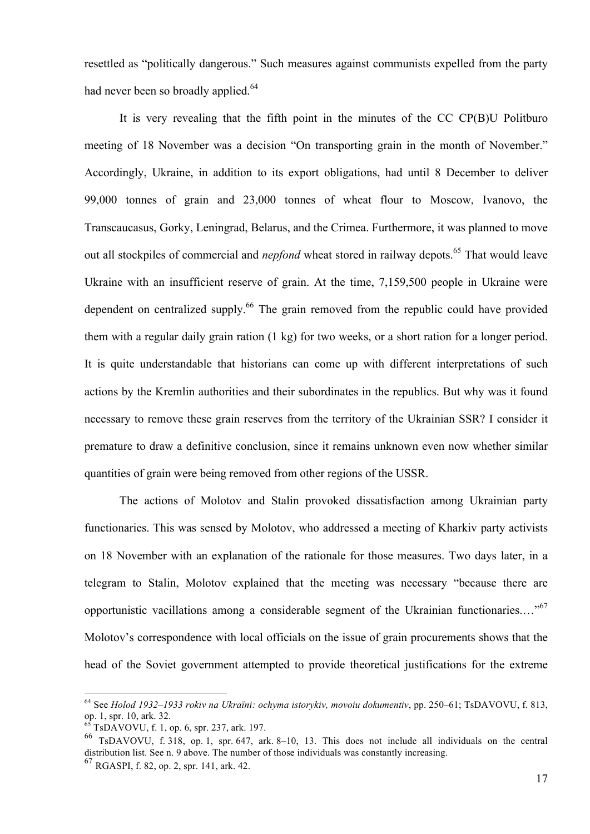resettled as "politically dangerous." Such measures against communists expelled from the party had never been so broadly applied.<sup>64</sup>

It is very revealing that the fifth point in the minutes of the CC CP(B)U Politburo meeting of 18 November was a decision "On transporting grain in the month of November." Accordingly, Ukraine, in addition to its export obligations, had until 8 December to deliver 99,000 tonnes of grain and 23,000 tonnes of wheat flour to Moscow, Ivanovo, the Transcaucasus, Gorky, Leningrad, Belarus, and the Crimea. Furthermore, it was planned to move out all stockpiles of commercial and *nepfond* wheat stored in railway depots. <sup>65</sup> That would leave Ukraine with an insufficient reserve of grain. At the time, 7,159,500 people in Ukraine were dependent on centralized supply.<sup>66</sup> The grain removed from the republic could have provided them with a regular daily grain ration (1 kg) for two weeks, or a short ration for a longer period. It is quite understandable that historians can come up with different interpretations of such actions by the Kremlin authorities and their subordinates in the republics. But why was it found necessary to remove these grain reserves from the territory of the Ukrainian SSR? I consider it premature to draw a definitive conclusion, since it remains unknown even now whether similar quantities of grain were being removed from other regions of the USSR.

The actions of Molotov and Stalin provoked dissatisfaction among Ukrainian party functionaries. This was sensed by Molotov, who addressed a meeting of Kharkiv party activists on 18 November with an explanation of the rationale for those measures. Two days later, in a telegram to Stalin, Molotov explained that the meeting was necessary "because there are opportunistic vacillations among a considerable segment of the Ukrainian functionaries...."<sup>67</sup> Molotov's correspondence with local officials on the issue of grain procurements shows that the head of the Soviet government attempted to provide theoretical justifications for the extreme

 <sup>64</sup> See *Holod 1932–1933 rokiv na Ukraïni: ochyma istorykiv, movoiu dokumentiv*, pp. 250–61; TsDAVOVU, f. 813, op. 1, spr. 10, ark. 32.<br><sup>65</sup> TsDAVOVU, f. 1, op. 6, spr. 237, ark. 197.

 $^{66}$  TsDAVOVU, f. 318, op. 1, spr. 647, ark. 8–10, 13. This does not include all individuals on the central distribution list. See n. <sup>9</sup> above. The number of those individuals was constantly increasing. 67 RGASPI, f. 82, op. 2, spr. 141, ark. 42.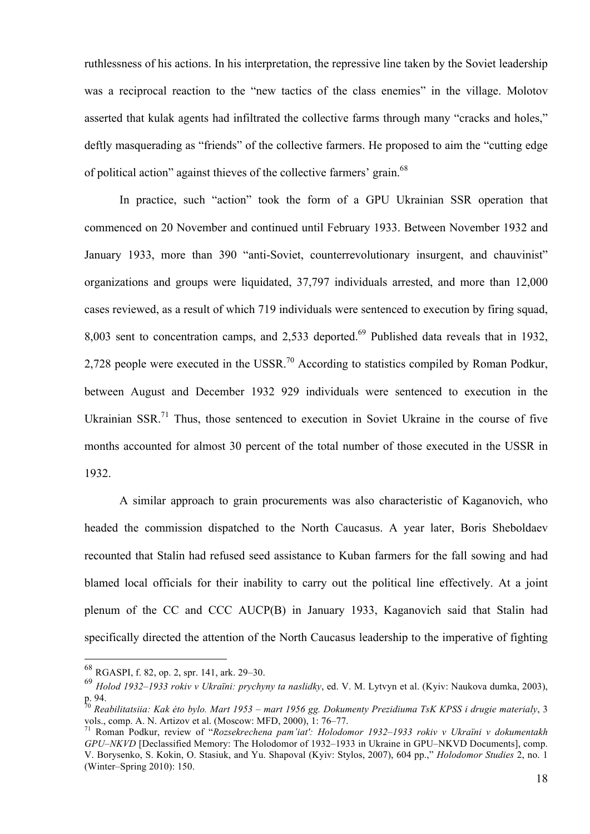ruthlessness of his actions. In his interpretation, the repressive line taken by the Soviet leadership was a reciprocal reaction to the "new tactics of the class enemies" in the village. Molotov asserted that kulak agents had infiltrated the collective farms through many "cracks and holes," deftly masquerading as "friends" of the collective farmers. He proposed to aim the "cutting edge of political action" against thieves of the collective farmers' grain.<sup>68</sup>

In practice, such "action" took the form of a GPU Ukrainian SSR operation that commenced on 20 November and continued until February 1933. Between November 1932 and January 1933, more than 390 "anti-Soviet, counterrevolutionary insurgent, and chauvinist" organizations and groups were liquidated, 37,797 individuals arrested, and more than 12,000 cases reviewed, as a result of which 719 individuals were sentenced to execution by firing squad, 8,003 sent to concentration camps, and 2,533 deported.<sup>69</sup> Published data reveals that in 1932, 2,728 people were executed in the USSR.<sup>70</sup> According to statistics compiled by Roman Podkur, between August and December 1932 929 individuals were sentenced to execution in the Ukrainian SSR.<sup>71</sup> Thus, those sentenced to execution in Soviet Ukraine in the course of five months accounted for almost 30 percent of the total number of those executed in the USSR in 1932.

A similar approach to grain procurements was also characteristic of Kaganovich, who headed the commission dispatched to the North Caucasus. A year later, Boris Sheboldaev recounted that Stalin had refused seed assistance to Kuban farmers for the fall sowing and had blamed local officials for their inability to carry out the political line effectively. At a joint plenum of the CC and CCC AUCP(B) in January 1933, Kaganovich said that Stalin had specifically directed the attention of the North Caucasus leadership to the imperative of fighting

 <sup>68</sup> RGASPI, f. 82, op. 2, spr. 141, ark. 29–30.

<sup>69</sup> *Holod 1932–1933 rokiv v Ukraïni: prychyny ta naslidky*, ed. V. M. Lytvyn et al. (Kyiv: Naukova dumka, 2003), p. 94.

<sup>70</sup> *Reabilitatsiia: Kak ėto bylo. Mart 1953 – mart 1956 gg. Dokumenty Prezidiuma TsK KPSS i drugie materialy*, 3 vols., comp. A. N. Artizov et al. (Moscow: MFD, 2000), 1: 76–77.<br><sup>71</sup> Roman Podkur, review of "*Rozsekrechena pam'iat': Holodomor 1932–1933 rokiv v Ukraïni v dokumentakh* 

*GPU–NKVD* [Declassified Memory: The Holodomor of 1932–1933 in Ukraine in GPU–NKVD Documents], comp. V. Borysenko, S. Kokin, O. Stasiuk, and Yu. Shapoval (Kyiv: Stylos, 2007), 604 pp.," *Holodomor Studies* 2, no. 1 (Winter–Spring 2010): 150.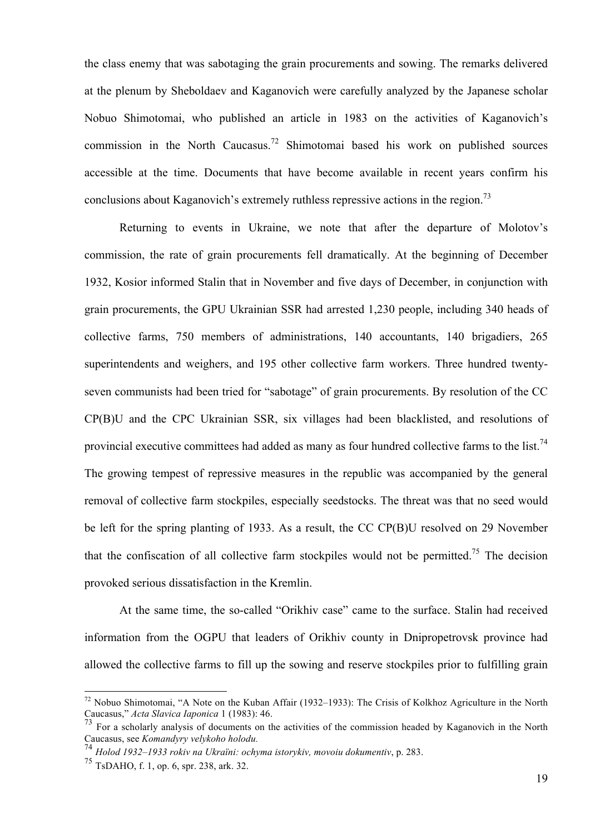the class enemy that was sabotaging the grain procurements and sowing. The remarks delivered at the plenum by Sheboldaev and Kaganovich were carefully analyzed by the Japanese scholar Nobuo Shimotomai, who published an article in 1983 on the activities of Kaganovich's commission in the North Caucasus.<sup>72</sup> Shimotomai based his work on published sources accessible at the time. Documents that have become available in recent years confirm his conclusions about Kaganovich's extremely ruthless repressive actions in the region.<sup>73</sup>

Returning to events in Ukraine, we note that after the departure of Molotov's commission, the rate of grain procurements fell dramatically. At the beginning of December 1932, Kosior informed Stalin that in November and five days of December, in conjunction with grain procurements, the GPU Ukrainian SSR had arrested 1,230 people, including 340 heads of collective farms, 750 members of administrations, 140 accountants, 140 brigadiers, 265 superintendents and weighers, and 195 other collective farm workers. Three hundred twentyseven communists had been tried for "sabotage" of grain procurements. By resolution of the CC CP(B)U and the CPC Ukrainian SSR, six villages had been blacklisted, and resolutions of provincial executive committees had added as many as four hundred collective farms to the list.<sup>74</sup> The growing tempest of repressive measures in the republic was accompanied by the general removal of collective farm stockpiles, especially seedstocks. The threat was that no seed would be left for the spring planting of 1933. As a result, the CC CP(B)U resolved on 29 November that the confiscation of all collective farm stockpiles would not be permitted.<sup>75</sup> The decision provoked serious dissatisfaction in the Kremlin.

At the same time, the so-called "Orikhiv case" came to the surface. Stalin had received information from the OGPU that leaders of Orikhiv county in Dnipropetrovsk province had allowed the collective farms to fill up the sowing and reserve stockpiles prior to fulfilling grain

 <sup>72</sup> Nobuo Shimotomai, "A Note on the Kuban Affair (1932–1933): The Crisis of Kolkhoz Agriculture in the North Caucasus," *Acta Slavica Iaponica* 1 (1983): 46.

<sup>73</sup> For a scholarly analysis of documents on the activities of the commission headed by Kaganovich in the North Caucasus, see *Komandyry velykoho holodu.* <sup>74</sup> *Holod 1932–1933 rokiv na Ukraïni: ochyma istorykiv, movoiu dokumentiv*, p. 283.

<sup>75</sup> TsDAHO, f. 1, op. 6, spr. 238, ark. 32.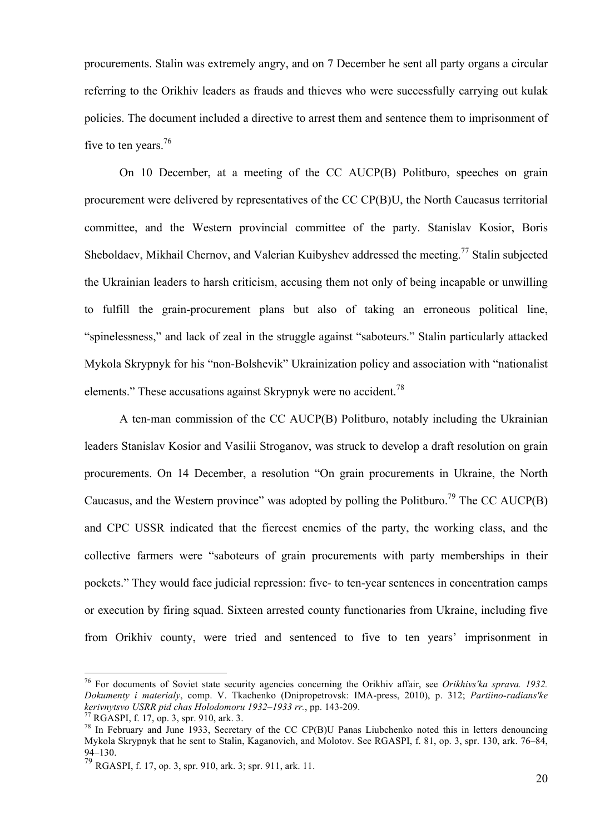procurements. Stalin was extremely angry, and on 7 December he sent all party organs a circular referring to the Orikhiv leaders as frauds and thieves who were successfully carrying out kulak policies. The document included a directive to arrest them and sentence them to imprisonment of five to ten years.<sup>76</sup>

On 10 December, at a meeting of the CC AUCP(B) Politburo, speeches on grain procurement were delivered by representatives of the CC CP(B)U, the North Caucasus territorial committee, and the Western provincial committee of the party. Stanislav Kosior, Boris Sheboldaev, Mikhail Chernov, and Valerian Kuibyshev addressed the meeting.<sup>77</sup> Stalin subjected the Ukrainian leaders to harsh criticism, accusing them not only of being incapable or unwilling to fulfill the grain-procurement plans but also of taking an erroneous political line, "spinelessness," and lack of zeal in the struggle against "saboteurs." Stalin particularly attacked Mykola Skrypnyk for his "non-Bolshevik" Ukrainization policy and association with "nationalist elements." These accusations against Skrypnyk were no accident.<sup>78</sup>

A ten-man commission of the CC AUCP(B) Politburo, notably including the Ukrainian leaders Stanislav Kosior and Vasilii Stroganov, was struck to develop a draft resolution on grain procurements. On 14 December, a resolution "On grain procurements in Ukraine, the North Caucasus, and the Western province" was adopted by polling the Politburo.<sup>79</sup> The CC AUCP(B) and CPC USSR indicated that the fiercest enemies of the party, the working class, and the collective farmers were "saboteurs of grain procurements with party memberships in their pockets." They would face judicial repression: five- to ten-year sentences in concentration camps or execution by firing squad. Sixteen arrested county functionaries from Ukraine, including five from Orikhiv county, were tried and sentenced to five to ten years' imprisonment in

 <sup>76</sup> For documents of Soviet state security agencies concerning the Orikhiv affair, see *Orikhivs'ka sprava. 1932. Dokumenty i materialy*, comp. V. Tkachenko (Dnipropetrovsk: IMA-press, 2010), p. 312; *Partiino-radians'ke kerivnytsvo USRR pid chas Holodomoru 1932–1933 rr.*, pp. 143-209.<br><sup>77</sup> RGASPI, f. 17, op. 3, spr. 910, ark. 3.<br><sup>78</sup> In February and June 1933, Secretary of the CC CP(B)U Panas Liubchenko noted this in letters denouncing

Mykola Skrypnyk that he sent to Stalin, Kaganovich, and Molotov. See RGASPI, f. 81, op. 3, spr. 130, ark. 76–84, 94–130.

<sup>79</sup> RGASPI, f. 17, op. 3, spr. 910, ark. 3; spr. 911, ark. 11.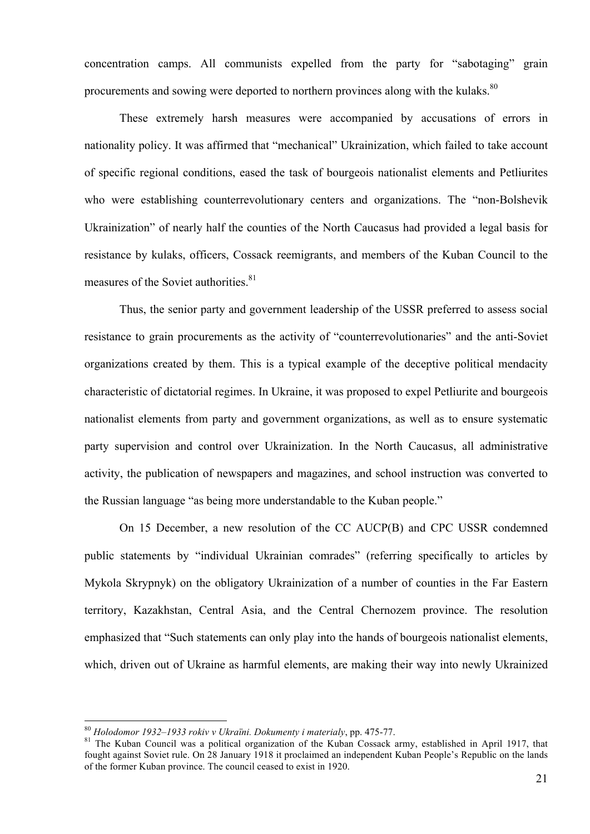concentration camps. All communists expelled from the party for "sabotaging" grain procurements and sowing were deported to northern provinces along with the kulaks.<sup>80</sup>

These extremely harsh measures were accompanied by accusations of errors in nationality policy. It was affirmed that "mechanical" Ukrainization, which failed to take account of specific regional conditions, eased the task of bourgeois nationalist elements and Petliurites who were establishing counterrevolutionary centers and organizations. The "non-Bolshevik Ukrainization" of nearly half the counties of the North Caucasus had provided a legal basis for resistance by kulaks, officers, Cossack reemigrants, and members of the Kuban Council to the measures of the Soviet authorities.<sup>81</sup>

Thus, the senior party and government leadership of the USSR preferred to assess social resistance to grain procurements as the activity of "counterrevolutionaries" and the anti-Soviet organizations created by them. This is a typical example of the deceptive political mendacity characteristic of dictatorial regimes. In Ukraine, it was proposed to expel Petliurite and bourgeois nationalist elements from party and government organizations, as well as to ensure systematic party supervision and control over Ukrainization. In the North Caucasus, all administrative activity, the publication of newspapers and magazines, and school instruction was converted to the Russian language "as being more understandable to the Kuban people."

On 15 December, a new resolution of the CC AUCP(B) and CPC USSR condemned public statements by "individual Ukrainian comrades" (referring specifically to articles by Mykola Skrypnyk) on the obligatory Ukrainization of a number of counties in the Far Eastern territory, Kazakhstan, Central Asia, and the Central Chernozem province. The resolution emphasized that "Such statements can only play into the hands of bourgeois nationalist elements, which, driven out of Ukraine as harmful elements, are making their way into newly Ukrainized

<sup>&</sup>lt;sup>80</sup> *Holodomor 1932–1933 rokiv v Ukraïni. Dokumenty i materialy*, pp. 475-77.<br><sup>81</sup> The Kuban Council was a political organization of the Kuban Cossack army, established in April 1917, that fought against Soviet rule. On 28 January 1918 it proclaimed an independent Kuban People's Republic on the lands of the former Kuban province. The council ceased to exist in 1920.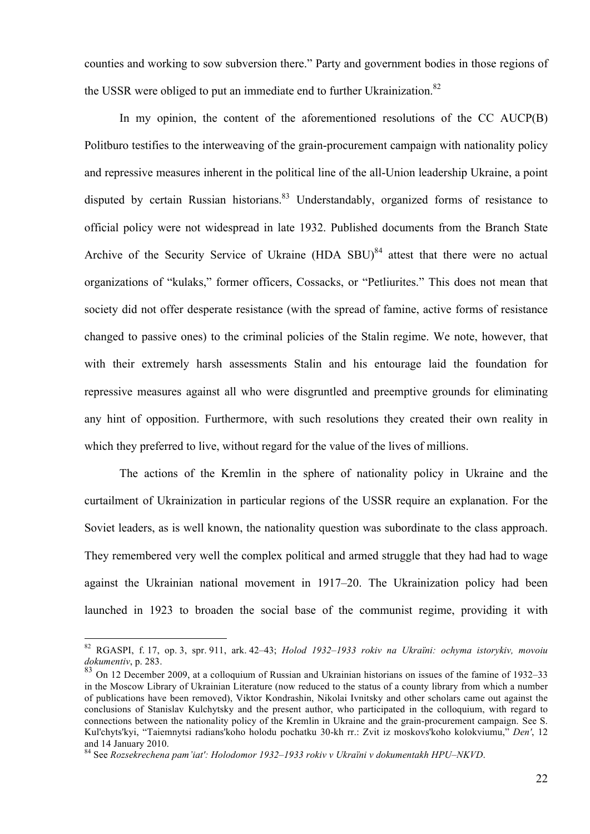counties and working to sow subversion there." Party and government bodies in those regions of the USSR were obliged to put an immediate end to further Ukrainization.<sup>82</sup>

In my opinion, the content of the aforementioned resolutions of the CC AUCP(B) Politburo testifies to the interweaving of the grain-procurement campaign with nationality policy and repressive measures inherent in the political line of the all-Union leadership Ukraine, a point disputed by certain Russian historians.<sup>83</sup> Understandably, organized forms of resistance to official policy were not widespread in late 1932. Published documents from the Branch State Archive of the Security Service of Ukraine (HDA SBU)<sup>84</sup> attest that there were no actual organizations of "kulaks," former officers, Cossacks, or "Petliurites." This does not mean that society did not offer desperate resistance (with the spread of famine, active forms of resistance changed to passive ones) to the criminal policies of the Stalin regime. We note, however, that with their extremely harsh assessments Stalin and his entourage laid the foundation for repressive measures against all who were disgruntled and preemptive grounds for eliminating any hint of opposition. Furthermore, with such resolutions they created their own reality in which they preferred to live, without regard for the value of the lives of millions.

The actions of the Kremlin in the sphere of nationality policy in Ukraine and the curtailment of Ukrainization in particular regions of the USSR require an explanation. For the Soviet leaders, as is well known, the nationality question was subordinate to the class approach. They remembered very well the complex political and armed struggle that they had had to wage against the Ukrainian national movement in 1917–20. The Ukrainization policy had been launched in 1923 to broaden the social base of the communist regime, providing it with

 <sup>82</sup> RGASPI, f. 17, op. 3, spr. 911, ark. 42–43; *Holod 1932–1933 rokiv na Ukraïni: ochyma istorykiv, movoiu dokumentiv*, p. 283.

<sup>83</sup> On 12 December 2009, at a colloquium of Russian and Ukrainian historians on issues of the famine of 1932–33 in the Moscow Library of Ukrainian Literature (now reduced to the status of a county library from which a number of publications have been removed), Viktor Kondrashin, Nikolai Ivnitsky and other scholars came out against the conclusions of Stanislav Kulchytsky and the present author, who participated in the colloquium, with regard to connections between the nationality policy of the Kremlin in Ukraine and the grain-procurement campaign. See S. Kul'chyts'kyi, "Taiemnytsi radians'koho holodu pochatku 30-kh rr.: Zvit iz moskovs'koho kolokviumu," *Den'*, 12 and 14 January 2010.<br><sup>84</sup> See *Rozsekrechena pam'iat': Holodomor 1932–1933 rokiv v Ukraïni v dokumentakh HPU–NKVD.*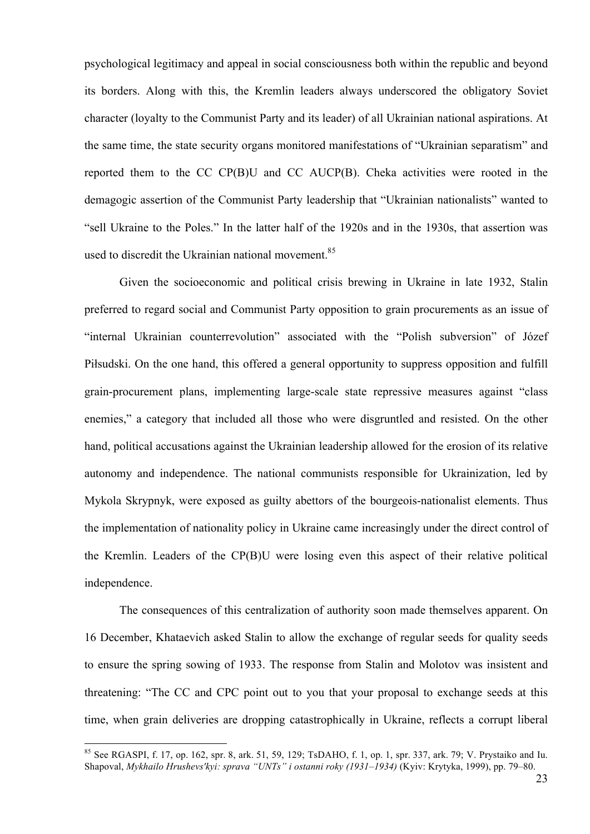psychological legitimacy and appeal in social consciousness both within the republic and beyond its borders. Along with this, the Kremlin leaders always underscored the obligatory Soviet character (loyalty to the Communist Party and its leader) of all Ukrainian national aspirations. At the same time, the state security organs monitored manifestations of "Ukrainian separatism" and reported them to the CC CP(B)U and CC AUCP(B). Cheka activities were rooted in the demagogic assertion of the Communist Party leadership that "Ukrainian nationalists" wanted to "sell Ukraine to the Poles." In the latter half of the 1920s and in the 1930s, that assertion was used to discredit the Ukrainian national movement.<sup>85</sup>

Given the socioeconomic and political crisis brewing in Ukraine in late 1932, Stalin preferred to regard social and Communist Party opposition to grain procurements as an issue of "internal Ukrainian counterrevolution" associated with the "Polish subversion" of Józef Piłsudski. On the one hand, this offered a general opportunity to suppress opposition and fulfill grain-procurement plans, implementing large-scale state repressive measures against "class enemies," a category that included all those who were disgruntled and resisted. On the other hand, political accusations against the Ukrainian leadership allowed for the erosion of its relative autonomy and independence. The national communists responsible for Ukrainization, led by Mykola Skrypnyk, were exposed as guilty abettors of the bourgeois-nationalist elements. Thus the implementation of nationality policy in Ukraine came increasingly under the direct control of the Kremlin. Leaders of the CP(B)U were losing even this aspect of their relative political independence.

The consequences of this centralization of authority soon made themselves apparent. On 16 December, Khataevich asked Stalin to allow the exchange of regular seeds for quality seeds to ensure the spring sowing of 1933. The response from Stalin and Molotov was insistent and threatening: "The CC and CPC point out to you that your proposal to exchange seeds at this time, when grain deliveries are dropping catastrophically in Ukraine, reflects a corrupt liberal

<sup>&</sup>lt;sup>85</sup> See RGASPI, f. 17, op. 162, spr. 8, ark. 51, 59, 129; TsDAHO, f. 1, op. 1, spr. 337, ark. 79; V. Prystaiko and Iu. Shapoval, *Mykhailo Hrushevs'kyi: sprava "UNTs" i ostanni roky (1931–1934)* (Kyiv: Krytyka, 1999), pp. 79–80.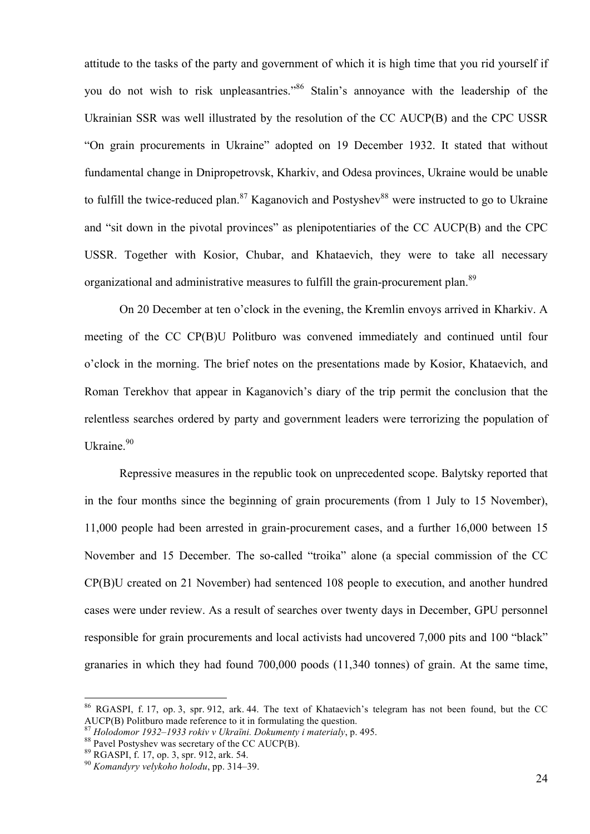attitude to the tasks of the party and government of which it is high time that you rid yourself if you do not wish to risk unpleasantries."<sup>86</sup> Stalin's annoyance with the leadership of the Ukrainian SSR was well illustrated by the resolution of the CC AUCP(B) and the CPC USSR "On grain procurements in Ukraine" adopted on 19 December 1932. It stated that without fundamental change in Dnipropetrovsk, Kharkiv, and Odesa provinces, Ukraine would be unable to fulfill the twice-reduced plan.<sup>87</sup> Kaganovich and Postyshev<sup>88</sup> were instructed to go to Ukraine and "sit down in the pivotal provinces" as plenipotentiaries of the CC AUCP(B) and the CPC USSR. Together with Kosior, Chubar, and Khataevich, they were to take all necessary organizational and administrative measures to fulfill the grain-procurement plan.<sup>89</sup>

On 20 December at ten o'clock in the evening, the Kremlin envoys arrived in Kharkiv. A meeting of the CC CP(B)U Politburo was convened immediately and continued until four o'clock in the morning. The brief notes on the presentations made by Kosior, Khataevich, and Roman Terekhov that appear in Kaganovich's diary of the trip permit the conclusion that the relentless searches ordered by party and government leaders were terrorizing the population of Ukraine.<sup>90</sup>

Repressive measures in the republic took on unprecedented scope. Balytsky reported that in the four months since the beginning of grain procurements (from 1 July to 15 November), 11,000 people had been arrested in grain-procurement cases, and a further 16,000 between 15 November and 15 December. The so-called "troika" alone (a special commission of the CC CP(B)U created on 21 November) had sentenced 108 people to execution, and another hundred cases were under review. As a result of searches over twenty days in December, GPU personnel responsible for grain procurements and local activists had uncovered 7,000 pits and 100 "black" granaries in which they had found 700,000 poods (11,340 tonnes) of grain. At the same time,

 <sup>86</sup> RGASPI, f. 17, op. 3, spr. 912, ark. 44. The text of Khataevich's telegram has not been found, but the CC AUCP(B) Politburo made reference to it in formulating the question.<br><sup>87</sup> Holodomor 1932–1933 rokiv v Ukraïni. Dokumenty i materialy, p. 495.<br><sup>88</sup> Pavel Postyshev was secretary of the CC AUCP(B).<br><sup>89</sup> RGASPI, f. 17, op. 3,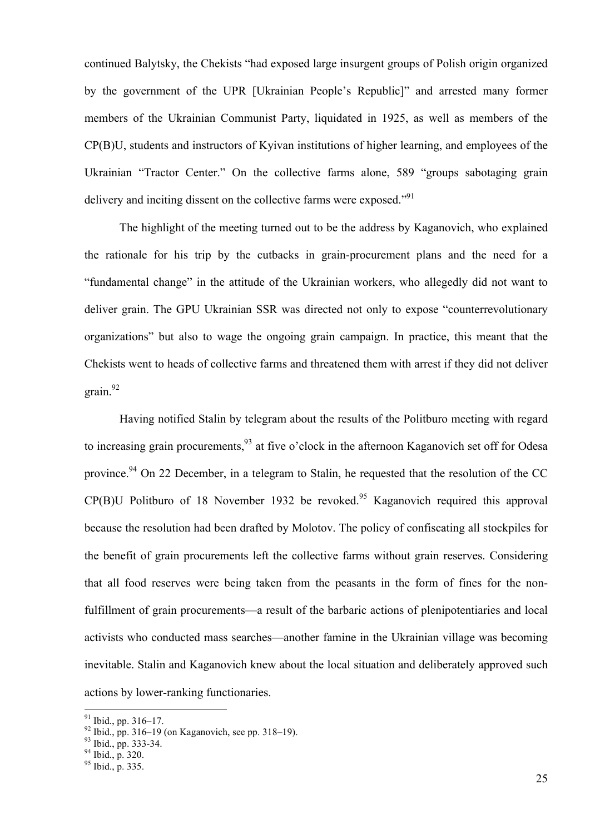continued Balytsky, the Chekists "had exposed large insurgent groups of Polish origin organized by the government of the UPR [Ukrainian People's Republic]" and arrested many former members of the Ukrainian Communist Party, liquidated in 1925, as well as members of the CP(B)U, students and instructors of Kyivan institutions of higher learning, and employees of the Ukrainian "Tractor Center." On the collective farms alone, 589 "groups sabotaging grain delivery and inciting dissent on the collective farms were exposed."<sup>91</sup>

The highlight of the meeting turned out to be the address by Kaganovich, who explained the rationale for his trip by the cutbacks in grain-procurement plans and the need for a "fundamental change" in the attitude of the Ukrainian workers, who allegedly did not want to deliver grain. The GPU Ukrainian SSR was directed not only to expose "counterrevolutionary organizations" but also to wage the ongoing grain campaign. In practice, this meant that the Chekists went to heads of collective farms and threatened them with arrest if they did not deliver grain. 92

Having notified Stalin by telegram about the results of the Politburo meeting with regard to increasing grain procurements,<sup>93</sup> at five o'clock in the afternoon Kaganovich set off for Odesa province.<sup>94</sup> On 22 December, in a telegram to Stalin, he requested that the resolution of the CC  $CP(B)$ U Politburo of 18 November 1932 be revoked.<sup>95</sup> Kaganovich required this approval because the resolution had been drafted by Molotov. The policy of confiscating all stockpiles for the benefit of grain procurements left the collective farms without grain reserves. Considering that all food reserves were being taken from the peasants in the form of fines for the nonfulfillment of grain procurements—a result of the barbaric actions of plenipotentiaries and local activists who conducted mass searches—another famine in the Ukrainian village was becoming inevitable. Stalin and Kaganovich knew about the local situation and deliberately approved such actions by lower-ranking functionaries.

<sup>&</sup>lt;sup>91</sup> Ibid., pp. 316–17.<br><sup>92</sup> Ibid., pp. 316–19 (on Kaganovich, see pp. 318–19).<br><sup>93</sup> Ibid., pp. 333-34.<br><sup>94</sup> Ibid., p. 320.<br><sup>95</sup> Ibid., p. 335.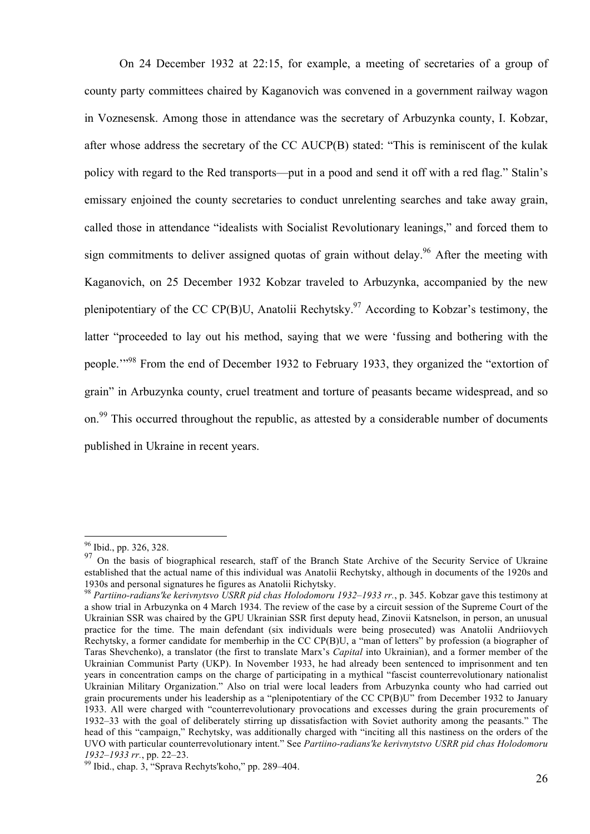On 24 December 1932 at 22:15, for example, a meeting of secretaries of a group of county party committees chaired by Kaganovich was convened in a government railway wagon in Voznesensk. Among those in attendance was the secretary of Arbuzynka county, I. Kobzar, after whose address the secretary of the CC AUCP(B) stated: "This is reminiscent of the kulak policy with regard to the Red transports—put in a pood and send it off with a red flag." Stalin's emissary enjoined the county secretaries to conduct unrelenting searches and take away grain, called those in attendance "idealists with Socialist Revolutionary leanings," and forced them to sign commitments to deliver assigned quotas of grain without delay.<sup>96</sup> After the meeting with Kaganovich, on 25 December 1932 Kobzar traveled to Arbuzynka, accompanied by the new plenipotentiary of the CC CP(B)U, Anatolii Rechytsky.<sup>97</sup> According to Kobzar's testimony, the latter "proceeded to lay out his method, saying that we were 'fussing and bothering with the people.<sup>"%</sup> From the end of December 1932 to February 1933, they organized the "extortion of grain" in Arbuzynka county, cruel treatment and torture of peasants became widespread, and so on.<sup>99</sup> This occurred throughout the republic, as attested by a considerable number of documents published in Ukraine in recent years.

 <sup>96</sup> Ibid., pp. 326, 328.

<sup>97</sup> On the basis of biographical research, staff of the Branch State Archive of the Security Service of Ukraine established that the actual name of this individual was Anatolii Rechytsky, although in documents of the 1920s and

<sup>1930</sup>s and personal signatures he figures as Anatolii Richytsky. <sup>98</sup> *Partiino-radians'ke kerivnytsvo USRR pid chas Holodomoru 1932–1933 rr.*, p. 345. Kobzar gave this testimony at a show trial in Arbuzynka on 4 March 1934. The review of the case by a circuit session of the Supreme Court of the Ukrainian SSR was chaired by the GPU Ukrainian SSR first deputy head, Zinovii Katsnelson, in person, an unusual practice for the time. The main defendant (six individuals were being prosecuted) was Anatolii Andriiovych Rechytsky, a former candidate for memberhip in the CC CP(B)U, a "man of letters" by profession (a biographer of Taras Shevchenko), a translator (the first to translate Marx's *Capital* into Ukrainian), and a former member of the Ukrainian Communist Party (UKP). In November 1933, he had already been sentenced to imprisonment and ten years in concentration camps on the charge of participating in a mythical "fascist counterrevolutionary nationalist Ukrainian Military Organization." Also on trial were local leaders from Arbuzynka county who had carried out grain procurements under his leadership as a "plenipotentiary of the CC CP(B)U" from December 1932 to January 1933. All were charged with "counterrevolutionary provocations and excesses during the grain procurements of 1932–33 with the goal of deliberately stirring up dissatisfaction with Soviet authority among the peasants." The head of this "campaign," Rechytsky, was additionally charged with "inciting all this nastiness on the orders of the UVO with particular counterrevolutionary intent." See *Partiino-radians'ke kerivnytstvo USRR pid chas Holodomoru* 

*<sup>1932–1933</sup> rr.*, pp. 22–23. <sup>99</sup> Ibid., chap. 3, "Sprava Rechyts'koho," pp. 289*–*404.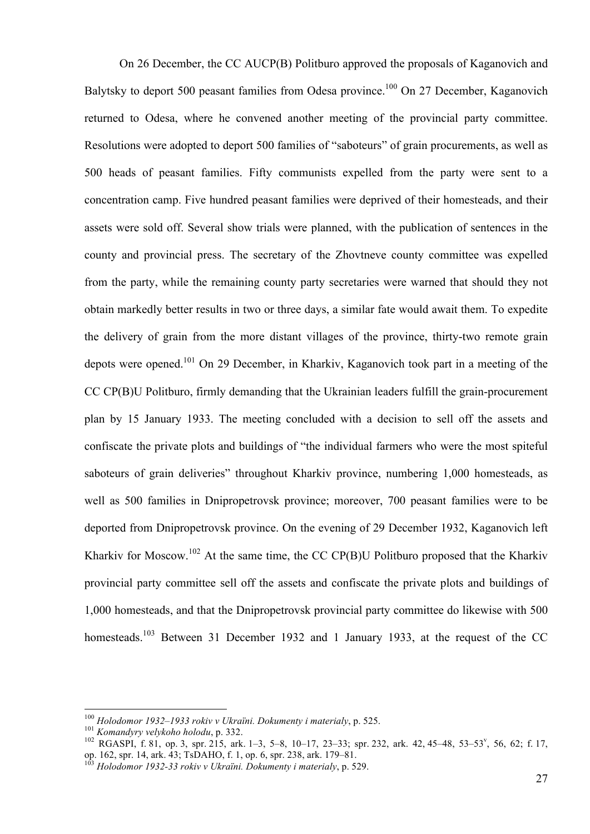On 26 December, the CC AUCP(B) Politburo approved the proposals of Kaganovich and Balytsky to deport 500 peasant families from Odesa province.<sup>100</sup> On 27 December, Kaganovich returned to Odesa, where he convened another meeting of the provincial party committee. Resolutions were adopted to deport 500 families of "saboteurs" of grain procurements, as well as 500 heads of peasant families. Fifty communists expelled from the party were sent to a concentration camp. Five hundred peasant families were deprived of their homesteads, and their assets were sold off. Several show trials were planned, with the publication of sentences in the county and provincial press. The secretary of the Zhovtneve county committee was expelled from the party, while the remaining county party secretaries were warned that should they not obtain markedly better results in two or three days, a similar fate would await them. To expedite the delivery of grain from the more distant villages of the province, thirty-two remote grain depots were opened.<sup>101</sup> On 29 December, in Kharkiv, Kaganovich took part in a meeting of the CC CP(B)U Politburo, firmly demanding that the Ukrainian leaders fulfill the grain-procurement plan by 15 January 1933. The meeting concluded with a decision to sell off the assets and confiscate the private plots and buildings of "the individual farmers who were the most spiteful saboteurs of grain deliveries" throughout Kharkiv province, numbering 1,000 homesteads, as well as 500 families in Dnipropetrovsk province; moreover, 700 peasant families were to be deported from Dnipropetrovsk province. On the evening of 29 December 1932, Kaganovich left Kharkiv for Moscow.<sup>102</sup> At the same time, the CC CP(B)U Politburo proposed that the Kharkiv provincial party committee sell off the assets and confiscate the private plots and buildings of 1,000 homesteads, and that the Dnipropetrovsk provincial party committee do likewise with 500 homesteads.<sup>103</sup> Between 31 December 1932 and 1 January 1933, at the request of the CC

<sup>100</sup> Holodomor 1932–1933 rokiv v Ukraïni. Dokumenty i materialy, p. 525.<br>
101 Komandyry velykoho holodu, p. 332.<br>
102 RGASPI, f. 81, op. 3, spr. 215, ark. 1–3, 5–8, 10–17, 23–33; spr. 232, ark. 42, 45–48, 53–53<sup>v</sup>, 56, 62; op. 162, spr. 14, ark. 43; TsDAHO, f. 1, op. 6, spr. 238, ark. 179–81. <sup>103</sup> *Holodomor 1932-33 rokiv v Ukraïni. Dokumenty i materialy*, p. 529.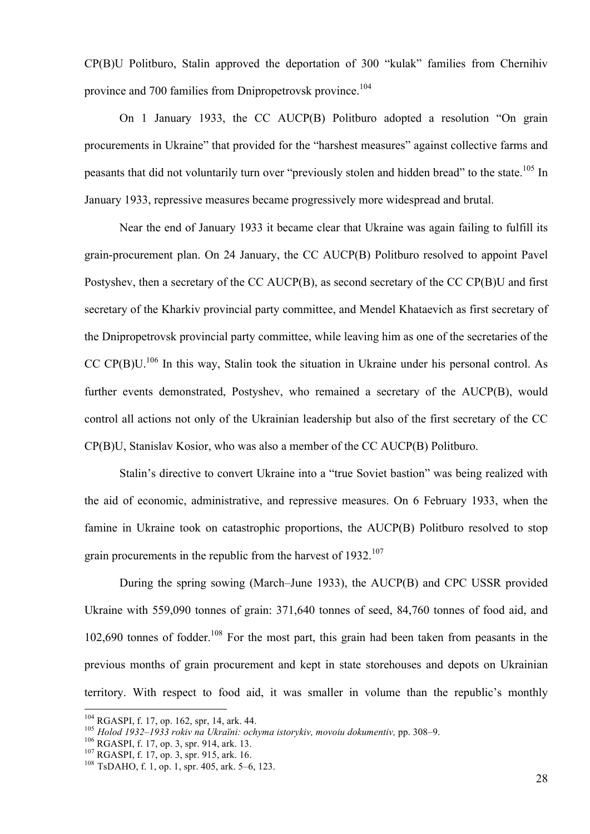CP(B)U Politburo, Stalin approved the deportation of 300 "kulak" families from Chernihiv province and 700 families from Dnipropetrovsk province.<sup>104</sup>

On 1 January 1933, the CC AUCP(B) Politburo adopted a resolution "On grain procurements in Ukraine" that provided for the "harshest measures" against collective farms and peasants that did not voluntarily turn over "previously stolen and hidden bread" to the state.<sup>105</sup> In January 1933, repressive measures became progressively more widespread and brutal.

Near the end of January 1933 it became clear that Ukraine was again failing to fulfill its grain-procurement plan. On 24 January, the CC AUCP(B) Politburo resolved to appoint Pavel Postyshev, then a secretary of the CC AUCP(B), as second secretary of the CC CP(B)U and first secretary of the Kharkiv provincial party committee, and Mendel Khataevich as first secretary of the Dnipropetrovsk provincial party committee, while leaving him as one of the secretaries of the CC CP(B)U.<sup>106</sup> In this way, Stalin took the situation in Ukraine under his personal control. As further events demonstrated, Postyshev, who remained a secretary of the AUCP(B), would control all actions not only of the Ukrainian leadership but also of the first secretary of the CC CP(B)U, Stanislav Kosior, who was also a member of the CC AUCP(B) Politburo.

Stalin's directive to convert Ukraine into a "true Soviet bastion" was being realized with the aid of economic, administrative, and repressive measures. On 6 February 1933, when the famine in Ukraine took on catastrophic proportions, the AUCP(B) Politburo resolved to stop grain procurements in the republic from the harvest of  $1932$ .<sup>107</sup>

During the spring sowing (March–June 1933), the AUCP(B) and CPC USSR provided Ukraine with 559,090 tonnes of grain: 371,640 tonnes of seed, 84,760 tonnes of food aid, and 102,690 tonnes of fodder.108 For the most part, this grain had been taken from peasants in the previous months of grain procurement and kept in state storehouses and depots on Ukrainian territory. With respect to food aid, it was smaller in volume than the republic's monthly

<sup>&</sup>lt;sup>104</sup> RGASPI, f. 17, op. 162, spr, 14, ark. 44.<br><sup>105</sup> *Holod 1932–1933 rokiv na Ukraïni: ochyma istorykiv, movoiu dokumentiv, pp. 308–9.*<br><sup>106</sup> RGASPI, f. 17, op. 3, spr. 914, ark. 13.<br><sup>107</sup> RGASPI, f. 17, op. 3, spr. 915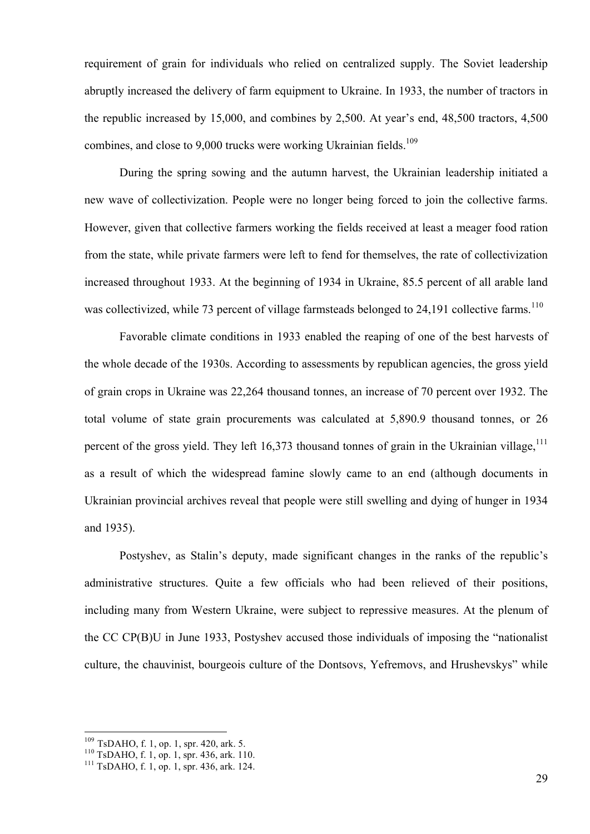requirement of grain for individuals who relied on centralized supply. The Soviet leadership abruptly increased the delivery of farm equipment to Ukraine. In 1933, the number of tractors in the republic increased by 15,000, and combines by 2,500. At year's end, 48,500 tractors, 4,500 combines, and close to 9,000 trucks were working Ukrainian fields.<sup>109</sup>

During the spring sowing and the autumn harvest, the Ukrainian leadership initiated a new wave of collectivization. People were no longer being forced to join the collective farms. However, given that collective farmers working the fields received at least a meager food ration from the state, while private farmers were left to fend for themselves, the rate of collectivization increased throughout 1933. At the beginning of 1934 in Ukraine, 85.5 percent of all arable land was collectivized, while 73 percent of village farmsteads belonged to  $24.191$  collective farms.<sup>110</sup>

Favorable climate conditions in 1933 enabled the reaping of one of the best harvests of the whole decade of the 1930s. According to assessments by republican agencies, the gross yield of grain crops in Ukraine was 22,264 thousand tonnes, an increase of 70 percent over 1932. The total volume of state grain procurements was calculated at 5,890.9 thousand tonnes, or 26 percent of the gross yield. They left 16,373 thousand tonnes of grain in the Ukrainian village,  $^{111}$ as a result of which the widespread famine slowly came to an end (although documents in Ukrainian provincial archives reveal that people were still swelling and dying of hunger in 1934 and 1935).

Postyshev, as Stalin's deputy, made significant changes in the ranks of the republic's administrative structures. Quite a few officials who had been relieved of their positions, including many from Western Ukraine, were subject to repressive measures. At the plenum of the CC CP(B)U in June 1933, Postyshev accused those individuals of imposing the "nationalist culture, the chauvinist, bourgeois culture of the Dontsovs, Yefremovs, and Hrushevskys" while

<sup>&</sup>lt;sup>109</sup> TsDAHO, f. 1, op. 1, spr. 420, ark. 5.<br><sup>110</sup> TsDAHO, f. 1, op. 1, spr. 436, ark. 110.<br><sup>111</sup> TsDAHO, f. 1, op. 1, spr. 436, ark. 124.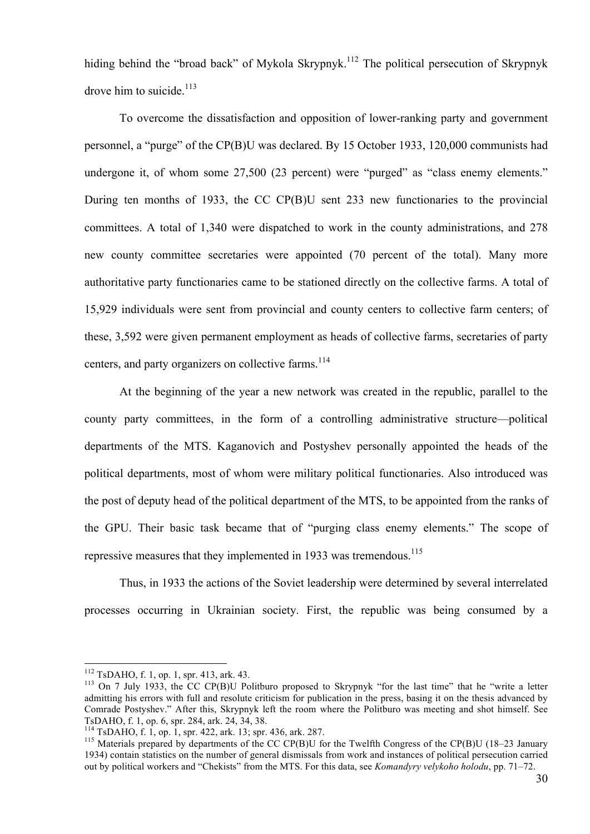hiding behind the "broad back" of Mykola Skrypnyk.<sup>112</sup> The political persecution of Skrypnyk drove him to suicide. $113$ 

To overcome the dissatisfaction and opposition of lower-ranking party and government personnel, a "purge" of the CP(B)U was declared. By 15 October 1933, 120,000 communists had undergone it, of whom some 27,500 (23 percent) were "purged" as "class enemy elements." During ten months of 1933, the CC CP(B)U sent 233 new functionaries to the provincial committees. A total of 1,340 were dispatched to work in the county administrations, and 278 new county committee secretaries were appointed (70 percent of the total). Many more authoritative party functionaries came to be stationed directly on the collective farms. A total of 15,929 individuals were sent from provincial and county centers to collective farm centers; of these, 3,592 were given permanent employment as heads of collective farms, secretaries of party centers, and party organizers on collective farms.<sup>114</sup>

At the beginning of the year a new network was created in the republic, parallel to the county party committees, in the form of a controlling administrative structure—political departments of the MTS. Kaganovich and Postyshev personally appointed the heads of the political departments, most of whom were military political functionaries. Also introduced was the post of deputy head of the political department of the MTS, to be appointed from the ranks of the GPU. Their basic task became that of "purging class enemy elements." The scope of repressive measures that they implemented in 1933 was tremendous.<sup>115</sup>

Thus, in 1933 the actions of the Soviet leadership were determined by several interrelated processes occurring in Ukrainian society. First, the republic was being consumed by a

<sup>115</sup> Materials prepared by departments of the CC CP(B)U for the Twelfth Congress of the CP(B)U (18–23 January 1934) contain statistics on the number of general dismissals from work and instances of political persecution carried out by political workers and "Chekists" from the MTS. For this data, see *Komandyry velykoho holodu*, pp. 71–72.

<sup>&</sup>lt;sup>112</sup> TsDAHO, f. 1, op. 1, spr. 413, ark. 43.<br><sup>113</sup> On 7 July 1933, the CC CP(B)U Politburo proposed to Skrypnyk "for the last time" that he "write a letter admitting his errors with full and resolute criticism for publication in the press, basing it on the thesis advanced by Comrade Postyshev." After this, Skrypnyk left the room where the Politburo was meeting and shot himself. See TsDAHO, f. 1, op. 6, spr. 284, ark. 24, 34, 38.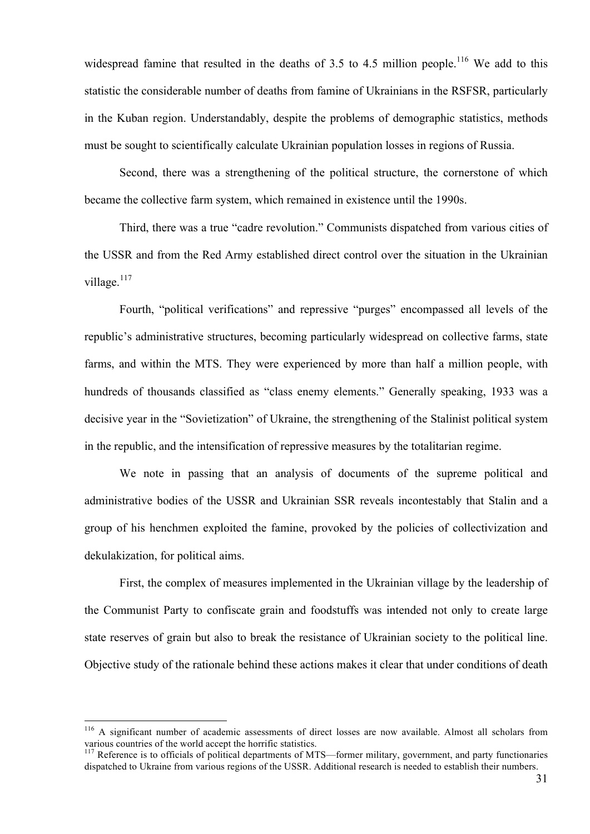widespread famine that resulted in the deaths of 3.5 to 4.5 million people.<sup>116</sup> We add to this statistic the considerable number of deaths from famine of Ukrainians in the RSFSR, particularly in the Kuban region. Understandably, despite the problems of demographic statistics, methods must be sought to scientifically calculate Ukrainian population losses in regions of Russia.

Second, there was a strengthening of the political structure, the cornerstone of which became the collective farm system, which remained in existence until the 1990s.

Third, there was a true "cadre revolution." Communists dispatched from various cities of the USSR and from the Red Army established direct control over the situation in the Ukrainian village.<sup>117</sup>

Fourth, "political verifications" and repressive "purges" encompassed all levels of the republic's administrative structures, becoming particularly widespread on collective farms, state farms, and within the MTS. They were experienced by more than half a million people, with hundreds of thousands classified as "class enemy elements." Generally speaking, 1933 was a decisive year in the "Sovietization" of Ukraine, the strengthening of the Stalinist political system in the republic, and the intensification of repressive measures by the totalitarian regime.

We note in passing that an analysis of documents of the supreme political and administrative bodies of the USSR and Ukrainian SSR reveals incontestably that Stalin and a group of his henchmen exploited the famine, provoked by the policies of collectivization and dekulakization, for political aims.

First, the complex of measures implemented in the Ukrainian village by the leadership of the Communist Party to confiscate grain and foodstuffs was intended not only to create large state reserves of grain but also to break the resistance of Ukrainian society to the political line. Objective study of the rationale behind these actions makes it clear that under conditions of death

<sup>&</sup>lt;sup>116</sup> A significant number of academic assessments of direct losses are now available. Almost all scholars from various countries of the world accept the horrific statistics.

 $^{117}$  Reference is to officials of political departments of MTS—former military, government, and party functionaries dispatched to Ukraine from various regions of the USSR. Additional research is needed to establish their numbers.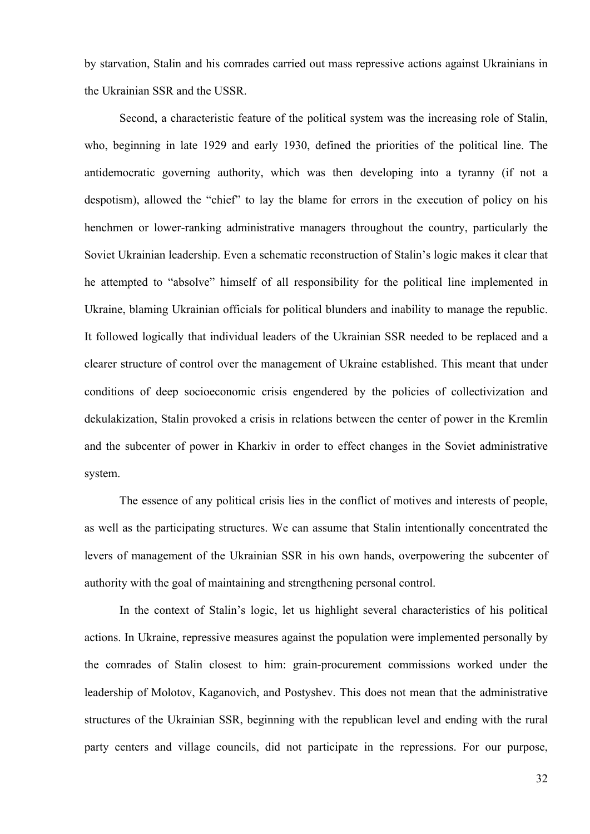by starvation, Stalin and his comrades carried out mass repressive actions against Ukrainians in the Ukrainian SSR and the USSR.

Second, a characteristic feature of the political system was the increasing role of Stalin, who, beginning in late 1929 and early 1930, defined the priorities of the political line. The antidemocratic governing authority, which was then developing into a tyranny (if not a despotism), allowed the "chief" to lay the blame for errors in the execution of policy on his henchmen or lower-ranking administrative managers throughout the country, particularly the Soviet Ukrainian leadership. Even a schematic reconstruction of Stalin's logic makes it clear that he attempted to "absolve" himself of all responsibility for the political line implemented in Ukraine, blaming Ukrainian officials for political blunders and inability to manage the republic. It followed logically that individual leaders of the Ukrainian SSR needed to be replaced and a clearer structure of control over the management of Ukraine established. This meant that under conditions of deep socioeconomic crisis engendered by the policies of collectivization and dekulakization, Stalin provoked a crisis in relations between the center of power in the Kremlin and the subcenter of power in Kharkiv in order to effect changes in the Soviet administrative system.

The essence of any political crisis lies in the conflict of motives and interests of people, as well as the participating structures. We can assume that Stalin intentionally concentrated the levers of management of the Ukrainian SSR in his own hands, overpowering the subcenter of authority with the goal of maintaining and strengthening personal control.

In the context of Stalin's logic, let us highlight several characteristics of his political actions. In Ukraine, repressive measures against the population were implemented personally by the comrades of Stalin closest to him: grain-procurement commissions worked under the leadership of Molotov, Kaganovich, and Postyshev. This does not mean that the administrative structures of the Ukrainian SSR, beginning with the republican level and ending with the rural party centers and village councils, did not participate in the repressions. For our purpose,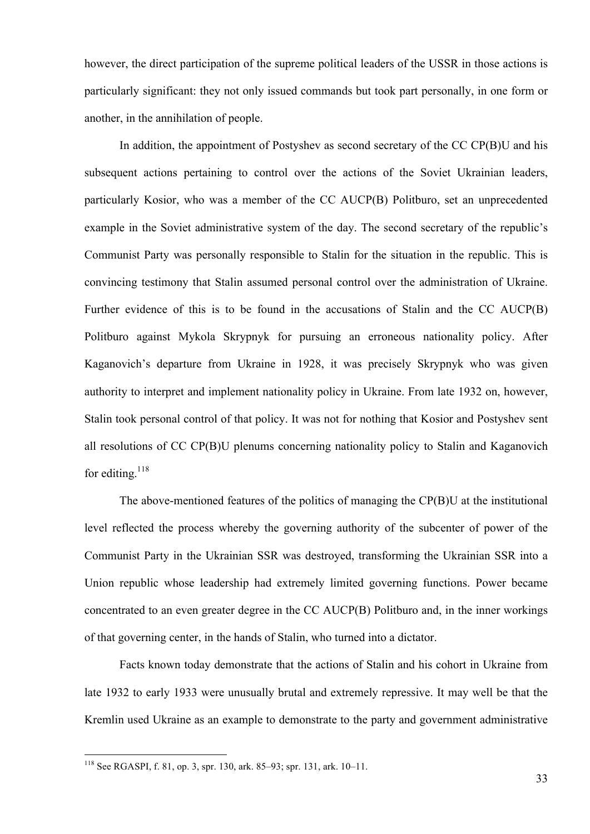however, the direct participation of the supreme political leaders of the USSR in those actions is particularly significant: they not only issued commands but took part personally, in one form or another, in the annihilation of people.

In addition, the appointment of Postyshev as second secretary of the CC CP(B)U and his subsequent actions pertaining to control over the actions of the Soviet Ukrainian leaders, particularly Kosior, who was a member of the CC AUCP(B) Politburo, set an unprecedented example in the Soviet administrative system of the day. The second secretary of the republic's Communist Party was personally responsible to Stalin for the situation in the republic. This is convincing testimony that Stalin assumed personal control over the administration of Ukraine. Further evidence of this is to be found in the accusations of Stalin and the CC AUCP(B) Politburo against Mykola Skrypnyk for pursuing an erroneous nationality policy. After Kaganovich's departure from Ukraine in 1928, it was precisely Skrypnyk who was given authority to interpret and implement nationality policy in Ukraine. From late 1932 on, however, Stalin took personal control of that policy. It was not for nothing that Kosior and Postyshev sent all resolutions of CC CP(B)U plenums concerning nationality policy to Stalin and Kaganovich for editing. $118$ 

The above-mentioned features of the politics of managing the CP(B)U at the institutional level reflected the process whereby the governing authority of the subcenter of power of the Communist Party in the Ukrainian SSR was destroyed, transforming the Ukrainian SSR into a Union republic whose leadership had extremely limited governing functions. Power became concentrated to an even greater degree in the CC AUCP(B) Politburo and, in the inner workings of that governing center, in the hands of Stalin, who turned into a dictator.

Facts known today demonstrate that the actions of Stalin and his cohort in Ukraine from late 1932 to early 1933 were unusually brutal and extremely repressive. It may well be that the Kremlin used Ukraine as an example to demonstrate to the party and government administrative

 <sup>118</sup> See RGASPI, f. 81, op. 3, spr. 130, ark. 85–93; spr. 131, ark. 10–11.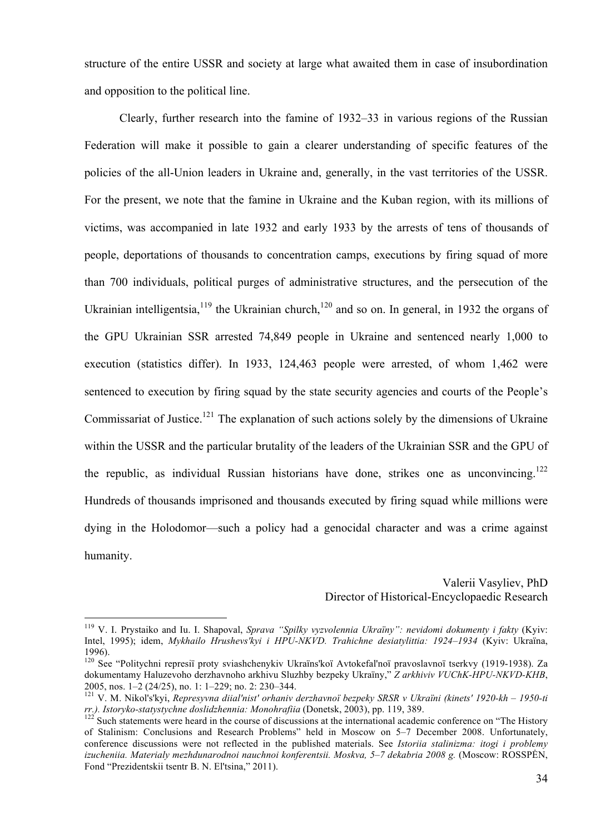structure of the entire USSR and society at large what awaited them in case of insubordination and opposition to the political line.

Clearly, further research into the famine of 1932–33 in various regions of the Russian Federation will make it possible to gain a clearer understanding of specific features of the policies of the all-Union leaders in Ukraine and, generally, in the vast territories of the USSR. For the present, we note that the famine in Ukraine and the Kuban region, with its millions of victims, was accompanied in late 1932 and early 1933 by the arrests of tens of thousands of people, deportations of thousands to concentration camps, executions by firing squad of more than 700 individuals, political purges of administrative structures, and the persecution of the Ukrainian intelligentsia,  $119$  the Ukrainian church,  $120$  and so on. In general, in 1932 the organs of the GPU Ukrainian SSR arrested 74,849 people in Ukraine and sentenced nearly 1,000 to execution (statistics differ). In 1933, 124,463 people were arrested, of whom 1,462 were sentenced to execution by firing squad by the state security agencies and courts of the People's Commissariat of Justice.<sup>121</sup> The explanation of such actions solely by the dimensions of Ukraine within the USSR and the particular brutality of the leaders of the Ukrainian SSR and the GPU of the republic, as individual Russian historians have done, strikes one as unconvincing.<sup>122</sup> Hundreds of thousands imprisoned and thousands executed by firing squad while millions were dying in the Holodomor—such a policy had a genocidal character and was a crime against humanity.

> Valerii Vasyliev, PhD Director of Historical-Encyclopaedic Research

 <sup>119</sup> V. I. Prystaiko and Iu. I. Shapoval, *Sprava "Spilky vyzvolennia Ukraïny": nevidomi dokumenty i fakty* (Kyiv: Intel, 1995); idem, *Mykhailo Hrushevs'kyi i HPU-NKVD. Trahichne desiatylittia: 1924–1934* (Kyiv: Ukraïna, 1996).<br><sup>120</sup> See "Politychni represiï proty sviashchenykiv Ukraïns'koï Avtokefal'noï pravoslavnoï tserkvy (1919-1938). Za

dokumentamy Haluzevoho derzhavnoho arkhivu Sluzhby bezpeky Ukraïny," *Z arkhiviv VUChK-HPU-NKVD-KHB*, 2005, nos. 1–2 (24/25), no. 1: 1–229; no. 2: 230–344. <sup>121</sup> V. M. Nikol's'kyi, *Represyvna diial'nist' orhaniv derzhavnoï bezpeky SRSR v Ukraïni (kinets' 1920-kh – 1950-ti* 

*rr.). Istoryko-statystychne doslidzhennia: Monohrafiia* (Donetsk, 2003), pp. 119, 389.<br><sup>122</sup> Such statements were heard in the course of discussions at the international academic conference on "The History

of Stalinism: Conclusions and Research Problems" held in Moscow on 5–7 December 2008. Unfortunately, conference discussions were not reflected in the published materials. See *Istoriia stalinizma: itogi i problemy izucheniia. Materialy mezhdunarodnoi nauchnoi konferentsii. Moskva, 5–7 dekabria 2008 g.* (Moscow: ROSSPĖN, Fond "Prezidentskii tsentr B. N. El'tsina," 2011).